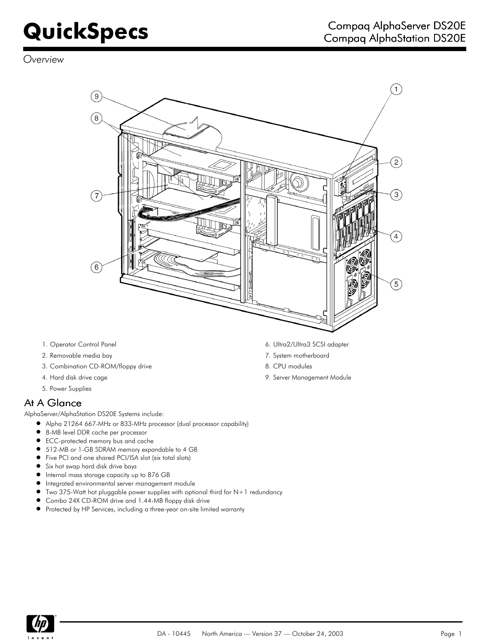*Overview*



- 
- 2. Removable media bay 7. System motherboard
- 3. Combination CD-ROM/floppy drive and the state of the state 8. CPU modules
- 
- 5. Power Supplies

## At A Glance

AlphaServer/AlphaStation DS20E Systems include:

- Alpha 21264 667-MHz or 833-MHz processor (dual processor capability)
- $\bullet$ 8-MB level DDR cache per processor
- ECC-protected memory bus and cache
- 512-MB or 1-GB SDRAM memory expandable to 4 GB
- Five PCI and one shared PCI/ISA slot (six total slots)
- Six hot swap hard disk drive bays
- $\bullet$ Internal mass storage capacity up to 876 GB
- Integrated environmental server management module
- $\bullet$ Two 375-Watt hot pluggable power supplies with optional third for N+1 redundancy
- Combo 24X CD-ROM drive and 1.44-MB floppy disk drive
- $\bullet$ Protected by HP Services, including a three-year on-site limited warranty
- 1. Operator Control Panel 6. Ultra2/Ultra3 SCSI adapter
	-
	-
- 4. Hard disk drive cage 9. Server Management Module

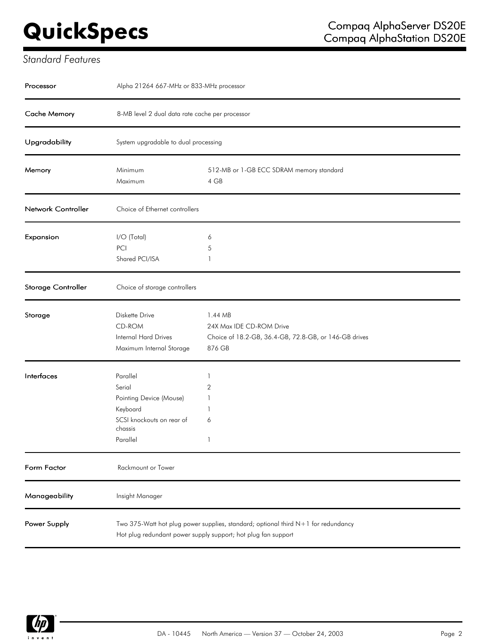# *Standard Features*

| Processor          | Alpha 21264 667-MHz or 833-MHz processor                                                                      |                                                                                                                                                      |
|--------------------|---------------------------------------------------------------------------------------------------------------|------------------------------------------------------------------------------------------------------------------------------------------------------|
| Cache Memory       | 8-MB level 2 dual data rate cache per processor                                                               |                                                                                                                                                      |
| Upgradability      | System upgradable to dual processing                                                                          |                                                                                                                                                      |
| Memory             | Minimum<br>Maximum                                                                                            | 512-MB or 1-GB ECC SDRAM memory standard<br>4 GB                                                                                                     |
| Network Controller | Choice of Ethernet controllers                                                                                |                                                                                                                                                      |
| Expansion          | I/O (Total)<br>PCI<br>Shared PCI/ISA                                                                          | 6<br>5<br>1                                                                                                                                          |
| Storage Controller | Choice of storage controllers                                                                                 |                                                                                                                                                      |
| Storage            | Diskette Drive<br>CD-ROM<br>Internal Hard Drives<br>Maximum Internal Storage                                  | 1.44 MB<br>24X Max IDE CD-ROM Drive<br>Choice of 18.2-GB, 36.4-GB, 72.8-GB, or 146-GB drives<br>876 GB                                               |
| Interfaces         | Parallel<br>Serial<br>Pointing Device (Mouse)<br>Keyboard<br>SCSI knockouts on rear of<br>chassis<br>Parallel | 1<br>2<br>1<br>6<br>1                                                                                                                                |
| Form Factor        | Rackmount or Tower                                                                                            |                                                                                                                                                      |
| Manageability      | Insight Manager                                                                                               |                                                                                                                                                      |
| Power Supply       |                                                                                                               | Two 375-Watt hot plug power supplies, standard; optional third $N+1$ for redundancy<br>Hot plug redundant power supply support; hot plug fan support |

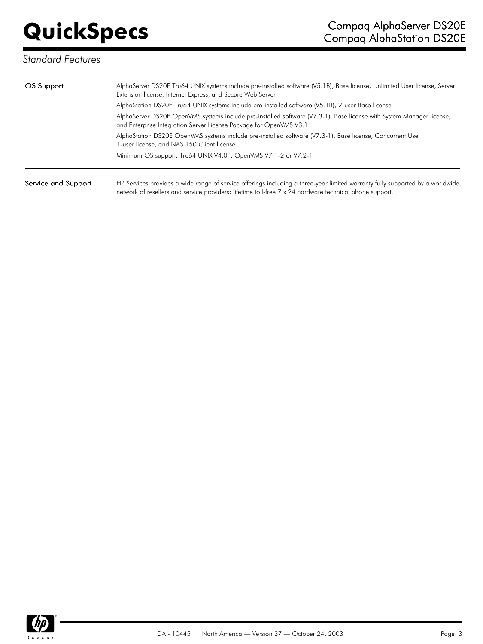# *Standard Features*

| OS Support          | AlphaServer DS20E Tru64 UNIX systems include pre-installed software (V5.1B), Base license, Unlimited User license, Server<br>Extension license, Internet Express, and Secure Web Server                                                  |  |  |
|---------------------|------------------------------------------------------------------------------------------------------------------------------------------------------------------------------------------------------------------------------------------|--|--|
|                     | AlphaStation DS20E Tru64 UNIX systems include pre-installed software (V5.1B), 2-user Base license                                                                                                                                        |  |  |
|                     | AlphaServer DS20E OpenVMS systems include pre-installed software (V7.3-1), Base license with System Manager license,<br>and Enterprise Integration Server License Package for OpenVMS V3.1                                               |  |  |
|                     | AlphaStation DS20E OpenVMS systems include pre-installed software (V7.3-1), Base license, Concurrent Use<br>1-user license, and NAS 150 Client license                                                                                   |  |  |
|                     | Minimum OS support: Tru64 UNIX V4.0F, OpenVMS V7.1-2 or V7.2-1                                                                                                                                                                           |  |  |
| Service and Support | HP Services provides a wide range of service offerings including a three-year limited warranty fully supported by a worldwide<br>network of resellers and service providers; lifetime toll-free 7 x 24 hardware technical phone support. |  |  |

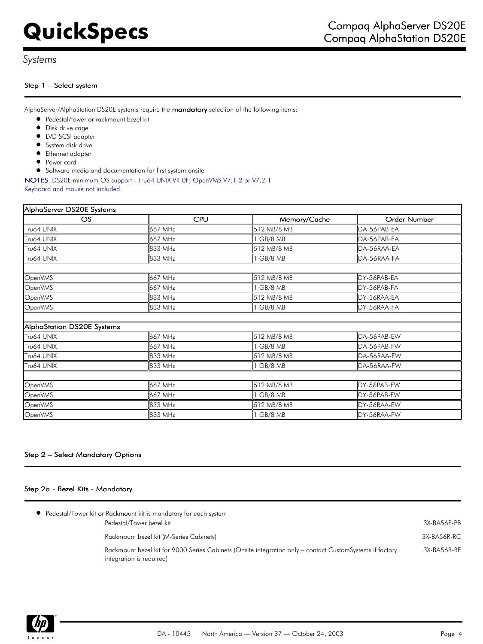## *Systems*

### Step 1 – Select system

AlphaServer/AlphaStation DS20E systems require the mandatory selection of the following items:

- Pedestal/tower or rackmount bezel kit
- **•** Disk drive cage
- $\bullet$  LVD SCSI adapter
- System disk drive
- Ethernet adapter
- **•** Power cord
- Software media and documentation for first system onsite

NOTES: DS20E minimum OS support - Tru64 UNIX V4.0F, OpenVMS V7.1-2 or V7.2-1

Keyboard and mouse not included.

| AlphaServer DS20E Systems  |            |              |              |  |
|----------------------------|------------|--------------|--------------|--|
| OS                         | <b>CPU</b> | Memory/Cache | Order Number |  |
| Tru64 UNIX                 | 667 MHz    | 512 MB/8 MB  | DA-56PAB-EA  |  |
| Tru64 UNIX                 | 667 MHz    | GB/8 MB      | DA-56PAB-FA  |  |
| Tru64 UNIX                 | 833 MHz    | 512 MB/8 MB  | DA-56RAA-EA  |  |
| Tru64 UNIX                 | 833 MHz    | GB/8 MB      | DA-56RAA-FA  |  |
| OpenVMS                    | 667 MHz    | 512 MB/8 MB  | DY-56PAB-EA  |  |
| OpenVMS                    | 667 MHz    | I GB/8 MB    | DY-56PAB-FA  |  |
| OpenVMS                    | 833 MHz    | 512 MB/8 MB  | DY-56RAA-EA  |  |
| OpenVMS                    | 833 MHz    | I GB/8 MB    | DY-56RAA-FA  |  |
| AlphaStation DS20E Systems |            |              |              |  |
| Tru64 UNIX                 | 667 MHz    | 512 MB/8 MB  | DA-56PAB-EW  |  |
| Tru64 UNIX                 | 667 MHz    | I GB/8 MB    | DA-56PAB-FW  |  |
| Tru64 UNIX                 | 833 MHz    | 512 MB/8 MB  | DA-56RAA-EW  |  |
| Tru64 UNIX                 | 833 MHz    | 1 GB/8 MB    | DA-56RAA-FW  |  |
|                            |            |              |              |  |
| OpenVMS                    | 667 MHz    | 512 MB/8 MB  | DY-56PAB-EW  |  |
| OpenVMS                    | 667 MHz    | GB/8 MB      | DY-56PAB-FW  |  |
| OpenVMS                    | 833 MHz    | 512 MB/8 MB  | DY-56RAA-EW  |  |
| OpenVMS                    | 833 MHz    | I GB/8 MB    | DY-56RAA-FW  |  |

## Step 2 – Select Mandatory Options

### Step 2a - Bezel Kits - Mandatory

| • Pedestal/Tower kit or Rackmount kit is mandatory for each system                                                                   |             |
|--------------------------------------------------------------------------------------------------------------------------------------|-------------|
| Pedestal/Tower bezel kit                                                                                                             | 3X-BA56P-PB |
| Rackmount bezel kit (M-Series Cabinets)                                                                                              | 3X-BA56R-RC |
| Rackmount bezel kit for 9000 Series Cabinets (Onsite integration only – contact CustomSystems if factory<br>integration is required) | 3X-BA56R-RE |

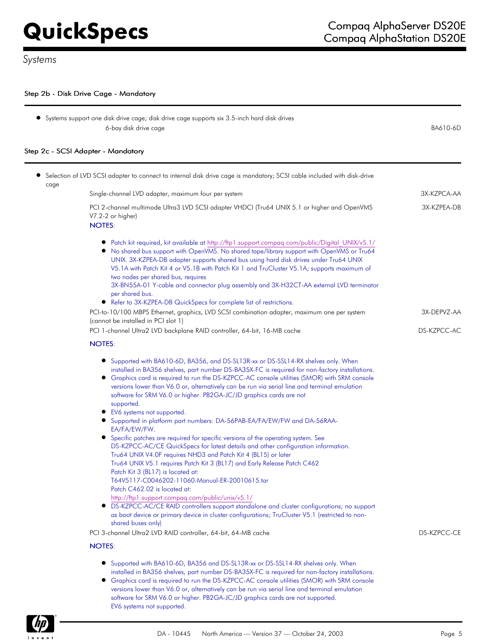$\blacksquare$ 

## Step 2b - Disk Drive Cage - Mandatory

|      | • Systems support one disk drive cage; disk drive cage supports six 3.5-inch hard disk drives<br>6-bay disk drive cage                                                                                                                                                                                                                                                                                                                                                                                                                                                                                                                                                                                                                                                                                                                                                                                                                                                                                                                                                                                                                                                                                                                                                                                                                        | BA610-6D    |
|------|-----------------------------------------------------------------------------------------------------------------------------------------------------------------------------------------------------------------------------------------------------------------------------------------------------------------------------------------------------------------------------------------------------------------------------------------------------------------------------------------------------------------------------------------------------------------------------------------------------------------------------------------------------------------------------------------------------------------------------------------------------------------------------------------------------------------------------------------------------------------------------------------------------------------------------------------------------------------------------------------------------------------------------------------------------------------------------------------------------------------------------------------------------------------------------------------------------------------------------------------------------------------------------------------------------------------------------------------------|-------------|
|      | Step 2c - SCSI Adapter - Mandatory                                                                                                                                                                                                                                                                                                                                                                                                                                                                                                                                                                                                                                                                                                                                                                                                                                                                                                                                                                                                                                                                                                                                                                                                                                                                                                            |             |
| cage | Selection of LVD SCSI adapter to connect to internal disk drive cage is mandatory; SCSI cable included with disk-drive                                                                                                                                                                                                                                                                                                                                                                                                                                                                                                                                                                                                                                                                                                                                                                                                                                                                                                                                                                                                                                                                                                                                                                                                                        |             |
|      | Single-channel LVD adapter, maximum four per system                                                                                                                                                                                                                                                                                                                                                                                                                                                                                                                                                                                                                                                                                                                                                                                                                                                                                                                                                                                                                                                                                                                                                                                                                                                                                           | 3X-KZPCA-AA |
|      | PCI 2-channel multimode Ultra3 LVD SCSI adapter VHDCI (Tru64 UNIX 5.1 or higher and OpenVMS<br>V7.2-2 or higher)<br><b>NOTES:</b>                                                                                                                                                                                                                                                                                                                                                                                                                                                                                                                                                                                                                                                                                                                                                                                                                                                                                                                                                                                                                                                                                                                                                                                                             | 3X-KZPEA-DB |
|      | ● Patch kit required, kit available at http://ftp1.support.compaq.com/public/Digital UNIX/v5.1/<br>• No shared bus support with OpenVMS. No shared tape/library support with OpenVMS or Tru64<br>UNIX. 3X-KZPEA-DB adapter supports shared bus using hard disk drives under Tru64 UNIX<br>V5.1A with Patch Kit 4 or V5.1B with Patch Kit 1 and TruCluster V5.1A; supports maximum of<br>two nodes per shared bus, requires<br>3X-BN55A-01 Y-cable and connector plug assembly and 3X-H32CT-AA external LVD terminator<br>per shared bus.<br>• Refer to 3X-KZPEA-DB QuickSpecs for complete list of restrictions.                                                                                                                                                                                                                                                                                                                                                                                                                                                                                                                                                                                                                                                                                                                              |             |
|      | PCI-to-10/100 MBPS Ethernet, graphics, LVD SCSI combination adapter, maximum one per system<br>(cannot be installed in PCI slot 1)                                                                                                                                                                                                                                                                                                                                                                                                                                                                                                                                                                                                                                                                                                                                                                                                                                                                                                                                                                                                                                                                                                                                                                                                            | 3X-DEPVZ-AA |
|      | PCI 1-channel Ultra2 LVD backplane RAID controller, 64-bit, 16-MB cache                                                                                                                                                                                                                                                                                                                                                                                                                                                                                                                                                                                                                                                                                                                                                                                                                                                                                                                                                                                                                                                                                                                                                                                                                                                                       | DS-KZPCC-AC |
|      | <b>NOTES:</b>                                                                                                                                                                                                                                                                                                                                                                                                                                                                                                                                                                                                                                                                                                                                                                                                                                                                                                                                                                                                                                                                                                                                                                                                                                                                                                                                 |             |
|      | • Supported with BA610-6D, BA356, and DS-SL13R-xx or DS-SSL14-RX shelves only. When<br>installed in BA356 shelves, part number DS-BA35X-FC is required for non-factory installations.<br>• Graphics card is required to run the DS-KZPCC-AC console utilities (SMOR) with SRM console<br>versions lower than V6.0 or, alternatively can be run via serial line and terminal emulation<br>software for SRM V6.0 or higher. PB2GA-JC/JD graphics cards are not<br>supported.<br>• EV6 systems not supported.<br>• Supported in platform part numbers: DA-56PAB-EA/FA/EW/FW and DA-56RAA-<br>EA/FA/EW/FW.<br>• Specific patches are required for specific versions of the operating system. See<br>DS-KZPCC-AC/CE QuickSpecs for latest details and other configuration information.<br>Tru64 UNIX V4.0F requires NHD3 and Patch Kit 4 (BL15) or later<br>Tru64 UNIX V5.1 requires Patch Kit 3 (BL17) and Early Release Patch C462<br>Patch Kit 3 (BL17) is located at:<br>T64V5117-C0046202-11060-Manual-ER-20010615.tar<br>Patch C462.02 is located at:<br>http://ftp1.support.compaq.com/public/unix/v5.1/<br>DS-KZPCC-AC/CE RAID controllers support standalone and cluster configurations; no support<br>$\bullet$<br>as boot device or primary device in cluster configurations; TruCluster V5.1 (restricted to non-<br>shared buses only) |             |
|      | PCI 3-channel Ultra2 LVD RAID controller, 64-bit, 64-MB cache                                                                                                                                                                                                                                                                                                                                                                                                                                                                                                                                                                                                                                                                                                                                                                                                                                                                                                                                                                                                                                                                                                                                                                                                                                                                                 | DS-KZPCC-CE |
|      | <b>NOTES:</b>                                                                                                                                                                                                                                                                                                                                                                                                                                                                                                                                                                                                                                                                                                                                                                                                                                                                                                                                                                                                                                                                                                                                                                                                                                                                                                                                 |             |
|      | • Supported with BA610-6D, BA356 and DS-SL13R-xx or DS-SSL14-RX shelves only. When<br>installed in BA356 shelves, part number DS-BA35X-FC is required for non-factory installations.<br>• Graphics card is required to run the DS-KZPCC-AC console utilities (SMOR) with SRM console<br>versions lower than V6.0 or, alternatively can be run via serial line and terminal emulation<br>software for SRM V6.0 or higher. PB2GA-JC/JD graphics cards are not supported.<br>EV6 systems not supported.                                                                                                                                                                                                                                                                                                                                                                                                                                                                                                                                                                                                                                                                                                                                                                                                                                          |             |

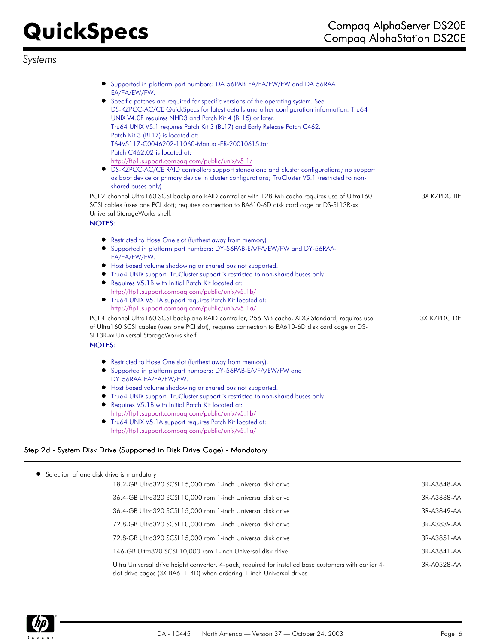# *Systems*

| • Supported in platform part numbers: DA-56PAB-EA/FA/EW/FW and DA-56RAA-<br>EA/FA/EW/FW.                                                                                                                                            |             |
|-------------------------------------------------------------------------------------------------------------------------------------------------------------------------------------------------------------------------------------|-------------|
| • Specific patches are required for specific versions of the operating system. See                                                                                                                                                  |             |
| DS-KZPCC-AC/CE QuickSpecs for latest details and other configuration information. Tru64                                                                                                                                             |             |
| UNIX V4.0F requires NHD3 and Patch Kit 4 (BL15) or later.                                                                                                                                                                           |             |
| Tru64 UNIX V5.1 requires Patch Kit 3 (BL17) and Early Release Patch C462.                                                                                                                                                           |             |
| Patch Kit 3 (BL17) is located at:                                                                                                                                                                                                   |             |
| T64V5117-C0046202-11060-Manual-ER-20010615.tar                                                                                                                                                                                      |             |
| Patch C462.02 is located at:                                                                                                                                                                                                        |             |
| http://ftp1.support.compaq.com/public/unix/v5.1/                                                                                                                                                                                    |             |
| DS-KZPCC-AC/CE RAID controllers support standalone and cluster configurations; no support                                                                                                                                           |             |
| as boot device or primary device in cluster configurations; TruCluster V5.1 (restricted to non-                                                                                                                                     |             |
| shared buses only)                                                                                                                                                                                                                  |             |
| PCI 2-channel Ultra160 SCSI backplane RAID controller with 128-MB cache requires use of Ultra160<br>SCSI cables (uses one PCI slot); requires connection to BA610-6D disk card cage or DS-SL13R-xx<br>Universal StorageWorks shelf. | 3X-KZPDC-BE |
| <b>NOTES:</b>                                                                                                                                                                                                                       |             |
|                                                                                                                                                                                                                                     |             |
| Restricted to Hose One slot (furthest away from memory)<br>• Supported in platform part numbers: DY-56PAB-EA/FA/EW/FW and DY-56RAA-                                                                                                 |             |
| EA/FA/EW/FW.                                                                                                                                                                                                                        |             |
| • Host based volume shadowing or shared bus not supported.                                                                                                                                                                          |             |
| • Tru64 UNIX support: TruCluster support is restricted to non-shared buses only.                                                                                                                                                    |             |
| Requires V5.1B with Initial Patch Kit located at:                                                                                                                                                                                   |             |
| http://ftp1.support.compaq.com/public/unix/v5.1b/                                                                                                                                                                                   |             |
| • Tru64 UNIX V5.1A support requires Patch Kit located at:                                                                                                                                                                           |             |
| http://ftp1.support.compaq.com/public/unix/v5.1a/                                                                                                                                                                                   |             |
| PCI 4-channel Ultra 160 SCSI backplane RAID controller, 256-MB cache, ADG Standard, requires use                                                                                                                                    | 3X-KZPDC-DF |
| of Ultra 160 SCSI cables (uses one PCI slot); requires connection to BA610-6D disk card cage or DS-                                                                                                                                 |             |
| SL13R-xx Universal StorageWorks shelf                                                                                                                                                                                               |             |
| <b>NOTES:</b>                                                                                                                                                                                                                       |             |
| Restricted to Hose One slot (furthest away from memory).<br>$\bullet$                                                                                                                                                               |             |
| • Supported in platform part numbers: DY-56PAB-EA/FA/EW/FW and                                                                                                                                                                      |             |
| DY-56RAA-EA/FA/EW/FW.                                                                                                                                                                                                               |             |
| • Host based volume shadowing or shared bus not supported.                                                                                                                                                                          |             |
| • Tru64 UNIX support: TruCluster support is restricted to non-shared buses only.                                                                                                                                                    |             |
| • Requires V5.1B with Initial Patch Kit located at:                                                                                                                                                                                 |             |
| http://ftp1.support.compag.com/public/unix/v5.1b/                                                                                                                                                                                   |             |
| • Tru64 UNIX V5.1A support requires Patch Kit located at:                                                                                                                                                                           |             |
| http://ftp1.support.compaq.com/public/unix/v5.1a/                                                                                                                                                                                   |             |
|                                                                                                                                                                                                                                     |             |
| Step 2d - System Disk Drive (Supported in Disk Drive Cage) - Mandatory                                                                                                                                                              |             |
|                                                                                                                                                                                                                                     |             |

| • Selection of one disk drive is mandatory |
|--------------------------------------------|
|                                            |

| 18.2-GB Ultra320 SCSI 15,000 rpm 1-inch Universal disk drive                                                                                                                  | 3R-A3848-AA |
|-------------------------------------------------------------------------------------------------------------------------------------------------------------------------------|-------------|
| 36.4-GB Ultra320 SCSI 10,000 rpm 1-inch Universal disk drive                                                                                                                  | 3R-A3838-AA |
| 36.4-GB Ultra320 SCSI 15,000 rpm 1-inch Universal disk drive                                                                                                                  | 3R-A3849-AA |
| 72.8-GB Ultra320 SCSI 10,000 rpm 1-inch Universal disk drive                                                                                                                  | 3R-A3839-AA |
| 72.8-GB Ultra320 SCSI 15,000 rpm 1-inch Universal disk drive                                                                                                                  | 3R-A3851-AA |
| 146-GB Ultra320 SCSI 10,000 rpm 1-inch Universal disk drive                                                                                                                   | 3R-A3841-AA |
| Ultra Universal drive height converter, 4-pack; required for installed base customers with earlier 4-<br>slot drive cages (3X-BA611-4D) when ordering 1-inch Universal drives | 3R-A0528-AA |
|                                                                                                                                                                               |             |

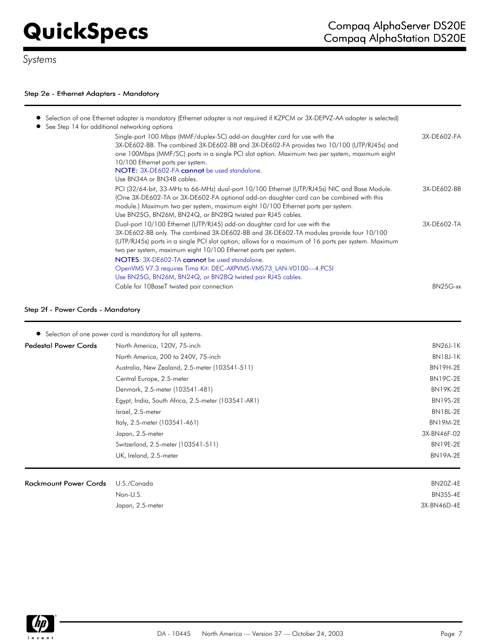# *Systems*

## Step 2e - Ethernet Adapters - Mandatory

| Selection of one Ethernet adapter is mandatory (Ethernet adapter is not required if KZPCM or 3X-DEPVZ-AA adapter is selected)<br>See Step 14 for additional networking options                                                                                                                                                                                                                                                                                                     |             |
|------------------------------------------------------------------------------------------------------------------------------------------------------------------------------------------------------------------------------------------------------------------------------------------------------------------------------------------------------------------------------------------------------------------------------------------------------------------------------------|-------------|
| Single-port 100 Mbps (MMF/duplex-SC) add-on daughter card for use with the<br>3X-DE602-BB. The combined 3X-DE602-BB and 3X-DE602-FA provides two 10/100 (UTP/RJ45s) and<br>one 100Mbps (MMF/SC) ports in a single PCI slot option. Maximum two per system, maximum eight<br>10/100 Ethernet ports per system.<br>NOTE: 3X-DE602-FA cannot be used standalone.<br>Use BN34A or BN34B cables.                                                                                        | 3X-DE602-FA |
| PCI (32/64-bit, 33-MHz to 66-MHz) dual-port 10/100 Ethernet (UTP/RJ45s) NIC and Base Module.<br>(One 3X-DE602-TA or 3X-DE602-FA optional add-on daughter card can be combined with this<br>module.) Maximum two per system, maximum eight 10/100 Ethernet ports per system.<br>Use BN25G, BN26M, BN24Q, or BN28Q twisted pair RJ45 cables.                                                                                                                                         | 3X-DE602-BB |
| Dual-port 10/100 Ethernet (UTP/RJ45) add-on daughter card for use with the<br>3X-DE602-BB only. The combined 3X-DE602-BB and 3X-DE602-TA modules provide four 10/100<br>(UTP/RJ45s) ports in a single PCI slot option; allows for a maximum of 16 ports per system. Maximum<br>two per system, maximum eight 10/100 Ethernet ports per system.<br><b>NOTES:</b> 3X-DE602-TA <b>cannot</b> be used standalone.<br>OpenVMS V7.3 requires Tima Kit: DEC-AXPVMS-VMS73 LAN-V0100-4.PCSI | 3X-DE602-TA |
| Use BN25G, BN26M, BN24Q, or BN28Q twisted pair RJ45 cables.                                                                                                                                                                                                                                                                                                                                                                                                                        |             |
| Cable for 10BaseT twisted pair connection                                                                                                                                                                                                                                                                                                                                                                                                                                          | BN25G-xx    |

## Step 2f - Power Cords - Mandatory

| Rackmount Power Cords U.S./Canada |                                                           | <b>BN20Z-4E</b> |
|-----------------------------------|-----------------------------------------------------------|-----------------|
|                                   | UK, Ireland, 2.5-meter                                    | <b>BN19A-2E</b> |
|                                   | Switzerland, 2.5-meter (103541-511)                       | <b>BN19E-2E</b> |
|                                   | Japan, 2.5-meter                                          | 3X-BN46F-02     |
|                                   | Italy, 2.5-meter (103541-461)                             | <b>BN19M-2E</b> |
|                                   | Israel, 2.5-meter                                         | <b>BN18L-2E</b> |
|                                   | Egypt, India, South Africa, 2.5-meter (103541-AR1)        | <b>BN19S-2E</b> |
|                                   | Denmark, 2.5-meter (103541-481)                           | <b>BN19K-2E</b> |
|                                   | Central Europe, 2.5-meter                                 | <b>BN19C-2E</b> |
|                                   | Australia, New Zealand, 2.5-meter (103541-511)            | <b>BN19H-2E</b> |
|                                   | North America, 200 to 240V, 75-inch                       | <b>BN18J-1K</b> |
| Pedestal Power Cords              | North America, 120V, 75-inch                              | <b>BN26J-1K</b> |
|                                   | Selection of one power cord is mandatory for all systems. |                 |

| U.J./ Cunuuu     | <b>DIVADE-TL</b> |
|------------------|------------------|
| Non-U.S.         | <b>BN35S-4E</b>  |
| Japan, 2.5-meter | 3X-BN46D-4E      |
|                  |                  |

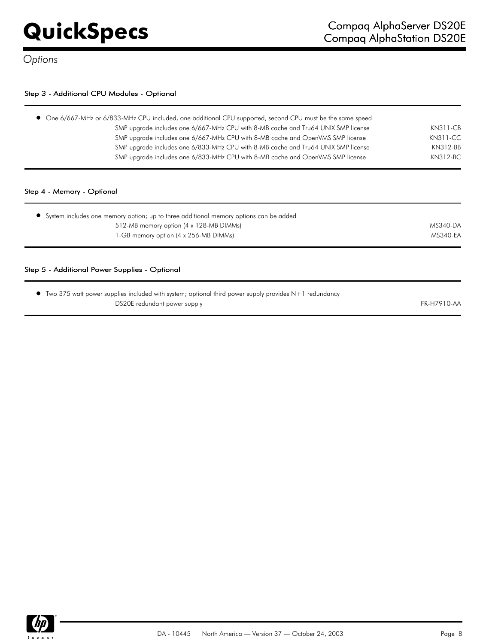## Step 3 - Additional CPU Modules - Optional

| SMP upgrade includes one 6/667-MHz CPU with 8-MB cache and Tru64 UNIX SMP license | KN311-CB        |
|-----------------------------------------------------------------------------------|-----------------|
| SMP upgrade includes one 6/667-MHz CPU with 8-MB cache and OpenVMS SMP license    | <b>KN311-CC</b> |
| SMP upgrade includes one 6/833-MHz CPU with 8-MB cache and Tru64 UNIX SMP license | KN312-BB        |
| SMP upgrade includes one 6/833-MHz CPU with 8-MB cache and OpenVMS SMP license    | KN312-BC        |
|                                                                                   |                 |

| $\bullet$ System includes one memory option; up to three additional memory options can be added |          |
|-------------------------------------------------------------------------------------------------|----------|
| 512-MB memory option (4 x 128-MB DIMMs)                                                         | MS340-DA |
| 1-GB memory option (4 x 256-MB DIMMs)                                                           | MS340-EA |
|                                                                                                 |          |

### Step 5 - Additional Power Supplies - Optional

| • Two 375 watt power supplies included with system; optional third power supply provides N+1 redundancy |             |
|---------------------------------------------------------------------------------------------------------|-------------|
| DS20E redundant power supply                                                                            | FR-H7910-AA |

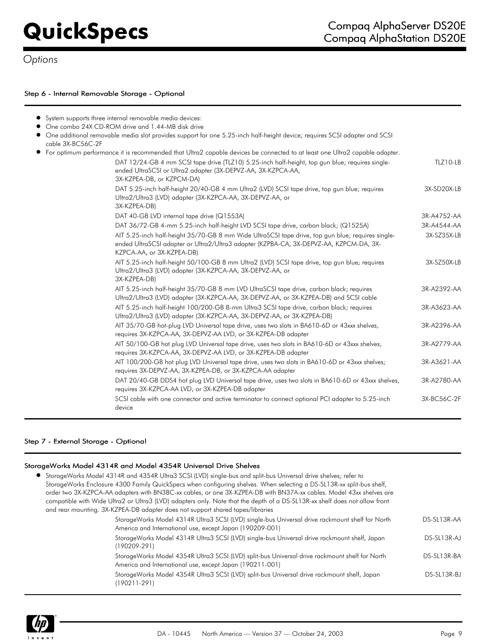## Step 6 - Internal Removable Storage - Optional

| • System supports three internal removable media devices:                                                                                                                                                                |             |
|--------------------------------------------------------------------------------------------------------------------------------------------------------------------------------------------------------------------------|-------------|
| • One combo 24X CD-ROM drive and 1.44-MB disk drive                                                                                                                                                                      |             |
| • One additional removable media slot provides support for one 5.25-inch half-height device; requires SCSI adapter and SCSI<br>cable 3X-BC56C-2F                                                                         |             |
| • For optimum performance it is recommended that Ultra2 capable devices be connected to at least one Ultra2 capable adapter.                                                                                             |             |
| DAT 12/24-GB 4 mm SCSI tape drive (TLZ10) 5.25-inch half-height, top gun blue; requires single-<br>ended UltraSCSI or Ultra2 adapter (3X-DEPVZ-AA, 3X-KZPCA-AA,<br>3X-KZPEA-DB, or KZPCM-DA)                             | TLZ10-LB    |
| DAT 5.25-inch half-height 20/40-GB 4 mm Ultra2 (LVD) SCSI tape drive, top gun blue; requires<br>Ultra2/Ultra3 (LVD) adapter (3X-KZPCA-AA, 3X-DEPVZ-AA, or<br>3X-KZPEA-DB)                                                | 3X-SD20X-LB |
| DAT 40-GB LVD internal tape drive (Q1553A)                                                                                                                                                                               | 3R-A4752-AA |
| DAT 36/72-GB 4-mm 5.25-inch half-height LVD SCSI tape drive, carbon black; (Q1525A)                                                                                                                                      | 3R-A4544-AA |
| AIT 5.25-inch half-height 35/70-GB 8 mm Wide UltraSCSI tape drive, top gun blue; requires single-<br>ended UltraSCSI adapter or Ultra2/Ultra3 adapter (KZPBA-CA, 3X-DEPVZ-AA, KZPCM-DA, 3X-<br>KZPCA-AA, or 3X-KZPEA-DB) | 3X-SZ35X-LB |
| AIT 5.25-inch half-height 50/100-GB 8 mm Ultra2 (LVD) SCSI tape drive, top gun blue; requires<br>Ultra2/Ultra3 (LVD) adapter (3X-KZPCA-AA, 3X-DEPVZ-AA, or<br>3X-KZPEA-DB)                                               | 3X-SZ50X-LB |
| AIT 5.25-inch half-height 35/70-GB 8 mm LVD UltraSCSI tape drive, carbon black; requires<br>Ultra2/Ultra3 (LVD) adapter (3X-KZPCA-AA, 3X-DEPVZ-AA, or 3X-KZPEA-DB) and SCSI cable                                        | 3R-A2392-AA |
| AIT 5.25-inch half-height 100/200-GB 8-mm Ultra3 SCSI tape drive, carbon black; requires<br>Ultra2/Ultra3 (LVD) adapter (3X-KZPCA-AA, 3X-DEPVZ-AA, or 3X-KZPEA-DB)                                                       | 3R-A3623-AA |
| AIT 35/70-GB hot-plug LVD Universal tape drive, uses two slots in BA610-6D or 43xxx shelves,<br>requires 3X-KZPCA-AA, 3X-DEPVZ-AA LVD, or 3X-KZPEA-DB adapter                                                            | 3R-A2396-AA |
| AIT 50/100-GB hot plug LVD Universal tape drive, uses two slots in BA610-6D or 43xxx shelves,<br>requires 3X-KZPCA-AA, 3X-DEPVZ-AA LVD, or 3X-KZPEA-DB adapter                                                           | 3R-A2779-AA |
| AIT 100/200-GB hot plug LVD Universal tape drive, uses two slots in BA610-6D or 43xxx shelves;<br>requires 3X-DEPVZ-AA, 3X-KZPEA-DB, or 3X-KZPCA-AA adapter                                                              | 3R-A3621-AA |
| DAT 20/40-GB DDS4 hot plug LVD Universal tape drive, uses two slots in BA610-6D or 43xxx shelves,<br>requires 3X-KZPCA-AA LVD, or 3X-KZPEA-DB adapter                                                                    | 3R-A2780-AA |
| SCSI cable with one connector and active terminator to connect optional PCI adapter to 5.25-inch<br>device                                                                                                               | 3X-BC56C-2F |

## Step 7 - External Storage - Optional

## StorageWorks Model 4314R and Model 4354R Universal Drive Shelves

| • StorageWorks Model 4314R and 4354R Ultra3 SCSI (LVD) single-bus and split-bus Universal drive shelves; refer to<br>StorageWorks Enclosure 4300 Family QuickSpecs when configuring shelves. When selecting a DS-SL13R-xx split-bus shelf,<br>order two 3X-KZPCA-AA adapters with BN38C-xx cables, or one 3X-KZPEA-DB with BN37A-xx cables. Model 43xx shelves are<br>compatible with Wide Ultra2 or Ultra3 (LVD) adapters only. Note that the depth of a DS-SL13R-xx shelf does not allow front<br>and rear mounting. 3X-KZPEA-DB adapter does not support shared tapes/libraries |             |
|------------------------------------------------------------------------------------------------------------------------------------------------------------------------------------------------------------------------------------------------------------------------------------------------------------------------------------------------------------------------------------------------------------------------------------------------------------------------------------------------------------------------------------------------------------------------------------|-------------|
| StorageWorks Model 4314R Ultra3 SCSI (LVD) single-bus Universal drive rackmount shelf for North<br>America and International use, except Japan (190209-001)                                                                                                                                                                                                                                                                                                                                                                                                                        | DS-SL13R-AA |
| StorageWorks Model 4314R Ultra3 SCSI (LVD) single-bus Universal drive rackmount shelf, Japan<br>$(190209 - 291)$                                                                                                                                                                                                                                                                                                                                                                                                                                                                   | DS-SL13R-AJ |
| StorageWorks Model 4354R Ultra3 SCSI (LVD) split-bus Universal drive rackmount shelf for North<br>America and International use, except Japan (190211-001)                                                                                                                                                                                                                                                                                                                                                                                                                         | DS-SL13R-BA |
| StorageWorks Model 4354R Ultra3 SCSI (LVD) split-bus Universal drive rackmount shelf, Japan<br>(190211-291)                                                                                                                                                                                                                                                                                                                                                                                                                                                                        | DS-SL13R-BJ |

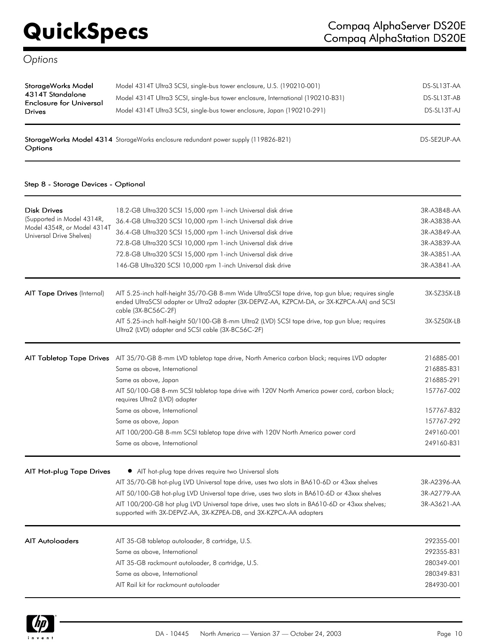| StorageWorks Model<br>4314T Standalone<br><b>Enclosure for Universal</b><br><b>Drives</b> | Model 4314T Ultra3 SCSI, single-bus tower enclosure, U.S. (190210-001)<br>Model 4314T Ultra3 SCSI, single-bus tower enclosure, International (190210-B31)<br>Model 4314T Ultra3 SCSI, single-bus tower enclosure, Japan (190210-291) | DS-SL13T-AA<br>DS-SL13T-AB<br>DS-SL13T-AJ |
|-------------------------------------------------------------------------------------------|--------------------------------------------------------------------------------------------------------------------------------------------------------------------------------------------------------------------------------------|-------------------------------------------|
|                                                                                           |                                                                                                                                                                                                                                      |                                           |

 $\bf StorgeWorks\ Model\ 4314$   $\rm StorgeWorks$  enclosure redundant power supply (119826-B21)  $\rm DS-SE2UP-AA$ Options

### Step 8 - Storage Devices - Optional

| <b>Disk Drives</b><br>(Supported in Model 4314R,<br>Model 4354R, or Model 4314T<br>Universal Drive Shelves) | 18.2-GB Ultra320 SCSI 15,000 rpm 1-inch Universal disk drive<br>36.4-GB Ultra320 SCSI 10,000 rpm 1-inch Universal disk drive<br>36.4-GB Ultra320 SCSI 15,000 rpm 1-inch Universal disk drive<br>72.8-GB Ultra320 SCSI 10,000 rpm 1-inch Universal disk drive<br>72.8-GB Ultra320 SCSI 15,000 rpm 1-inch Universal disk drive<br>146-GB Ultra320 SCSI 10,000 rpm 1-inch Universal disk drive                                                                      | 3R-A3848-AA<br>3R-A3838-AA<br>3R-A3849-AA<br>3R-A3839-AA<br>3R-A3851-AA<br>3R-A3841-AA                       |
|-------------------------------------------------------------------------------------------------------------|------------------------------------------------------------------------------------------------------------------------------------------------------------------------------------------------------------------------------------------------------------------------------------------------------------------------------------------------------------------------------------------------------------------------------------------------------------------|--------------------------------------------------------------------------------------------------------------|
| <b>AIT Tape Drives (Internal)</b>                                                                           | AIT 5.25-inch half-height 35/70-GB 8-mm Wide UltraSCSI tape drive, top gun blue; requires single<br>ended UltraSCSI adapter or Ultra2 adapter (3X-DEPVZ-AA, KZPCM-DA, or 3X-KZPCA-AA) and SCSI<br>cable (3X-BC56C-2F)<br>AIT 5.25-inch half-height 50/100-GB 8-mm Ultra2 (LVD) SCSI tape drive, top gun blue; requires<br>Ultra2 (LVD) adapter and SCSI cable (3X-BC56C-2F)                                                                                      | 3X-SZ35X-LB<br>3X-SZ50X-LB                                                                                   |
| <b>AIT Tabletop Tape Drives</b>                                                                             | AIT 35/70-GB 8-mm LVD tabletop tape drive, North America carbon black; requires LVD adapter<br>Same as above, International<br>Same as above, Japan<br>AIT 50/100-GB 8-mm SCSI tabletop tape drive with 120V North America power cord, carbon black;<br>requires Ultra2 (LVD) adapter<br>Same as above, International<br>Same as above, Japan<br>AIT 100/200-GB 8-mm SCSI tabletop tape drive with 120V North America power cord<br>Same as above, International | 216885-001<br>216885-B31<br>216885-291<br>157767-002<br>157767-B32<br>157767-292<br>249160-001<br>249160-B31 |
| AIT Hot-plug Tape Drives                                                                                    | • AIT hot-plug tape drives require two Universal slots<br>AIT 35/70-GB hot-plug LVD Universal tape drive, uses two slots in BA610-6D or 43xxx shelves<br>AIT 50/100-GB hot-plug LVD Universal tape drive, uses two slots in BA610-6D or 43xxx shelves<br>AIT 100/200-GB hot plug LVD Universal tape drive, uses two slots in BA610-6D or 43xxx shelves;<br>supported with 3X-DEPVZ-AA, 3X-KZPEA-DB, and 3X-KZPCA-AA adapters                                     | 3R-A2396-AA<br>3R-A2779-AA<br>3R-A3621-AA                                                                    |
| <b>AIT Autoloaders</b>                                                                                      | AIT 35-GB tabletop autoloader, 8 cartridge, U.S.<br>Same as above, International<br>AIT 35-GB rackmount autoloader, 8 cartridge, U.S.<br>Same as above, International<br>AIT Rail kit for rackmount autoloader                                                                                                                                                                                                                                                   | 292355-001<br>292355-B31<br>280349-001<br>280349-B31<br>284930-001                                           |

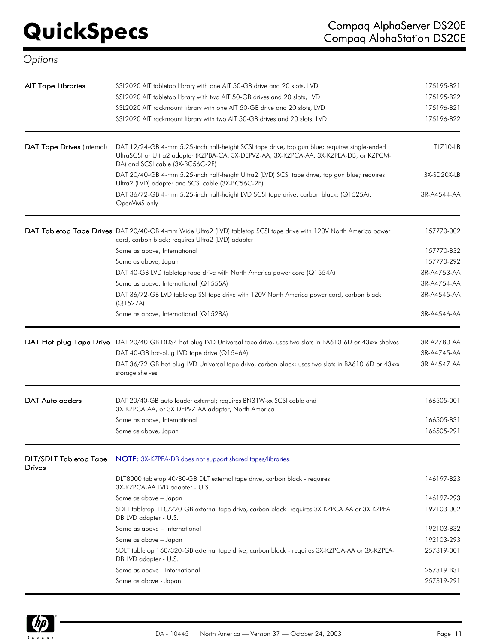| Options                                 |                                                                                                                                                                                                                             |             |
|-----------------------------------------|-----------------------------------------------------------------------------------------------------------------------------------------------------------------------------------------------------------------------------|-------------|
| <b>AIT Tape Libraries</b>               | SSL2020 AIT tabletop library with one AIT 50-GB drive and 20 slots, LVD                                                                                                                                                     | 175195-B21  |
|                                         | SSL2020 AIT tabletop library with two AIT 50-GB drives and 20 slots, LVD                                                                                                                                                    | 175195-B22  |
|                                         | SSL2020 AIT rackmount library with one AIT 50-GB drive and 20 slots, LVD                                                                                                                                                    | 175196-B21  |
|                                         | SSL2020 AIT rackmount library with two AIT 50-GB drives and 20 slots, LVD                                                                                                                                                   | 175196-B22  |
| DAT Tape Drives (Internal)              | DAT 12/24-GB 4-mm 5.25-inch half-height SCSI tape drive, top gun blue; requires single-ended<br>UltraSCSI or Ultra2 adapter (KZPBA-CA, 3X-DEPVZ-AA, 3X-KZPCA-AA, 3X-KZPEA-DB, or KZPCM-<br>DA) and SCSI cable (3X-BC56C-2F) | TLZ10-LB    |
|                                         | DAT 20/40-GB 4-mm 5.25-inch half-height Ultra2 (LVD) SCSI tape drive, top gun blue; requires<br>Ultra2 (LVD) adapter and SCSI cable (3X-BC56C-2F)                                                                           | 3X-SD20X-LB |
|                                         | DAT 36/72-GB 4-mm 5.25-inch half-height LVD SCSI tape drive, carbon black; (Q1525A);<br>OpenVMS only                                                                                                                        | 3R-A4544-AA |
|                                         | DAT Tabletop Tape Drives DAT 20/40-GB 4-mm Wide Ultra2 (LVD) tabletop SCSI tape drive with 120V North America power<br>cord, carbon black; requires Ultra2 (LVD) adapter                                                    | 157770-002  |
|                                         | Same as above, International                                                                                                                                                                                                | 157770-B32  |
|                                         | Same as above, Japan                                                                                                                                                                                                        | 157770-292  |
|                                         | DAT 40-GB LVD tabletop tape drive with North America power cord (Q1554A)                                                                                                                                                    | 3R-A4753-AA |
|                                         | Same as above, International (Q1555A)                                                                                                                                                                                       | 3R-A4754-AA |
|                                         | DAT 36/72-GB LVD tabletop SSI tape drive with 120V North America power cord, carbon black<br>(Q1527A)                                                                                                                       | 3R-A4545-AA |
|                                         | Same as above, International (Q1528A)                                                                                                                                                                                       | 3R-A4546-AA |
|                                         | DAT Hot-plug Tape Drive DAT 20/40-GB DDS4 hot-plug LVD Universal tape drive, uses two slots in BA610-6D or 43xxx shelves                                                                                                    | 3R-A2780-AA |
|                                         | DAT 40-GB hot-plug LVD tape drive (Q1546A)                                                                                                                                                                                  | 3R-A4745-AA |
|                                         | DAT 36/72-GB hot-plug LVD Universal tape drive, carbon black; uses two slots in BA610-6D or 43xxx<br>storage shelves                                                                                                        | 3R-A4547-AA |
| <b>DAT Autoloaders</b>                  | DAT 20/40-GB auto loader external; requires BN31W-xx SCSI cable and<br>3X-KZPCA-AA, or 3X-DEPVZ-AA adapter, North America                                                                                                   | 166505-001  |
|                                         | Same as above, International                                                                                                                                                                                                | 166505-B31  |
|                                         | Same as above, Japan                                                                                                                                                                                                        | 166505-291  |
| <b>DLT/SDLT Tabletop Tape</b><br>Drives | NOTE: 3X-KZPEA-DB does not support shared tapes/libraries.                                                                                                                                                                  |             |
|                                         | DLT8000 tabletop 40/80-GB DLT external tape drive, carbon black - requires<br>3X-KZPCA-AA LVD adapter - U.S.                                                                                                                | 146197-B23  |
|                                         | Same as above - Japan                                                                                                                                                                                                       | 146197-293  |
|                                         | SDLT tabletop 110/220-GB external tape drive, carbon black- requires 3X-KZPCA-AA or 3X-KZPEA-<br>DB LVD adapter - U.S.                                                                                                      | 192103-002  |
|                                         | Same as above - International                                                                                                                                                                                               | 192103-B32  |
|                                         | Same as above - Japan                                                                                                                                                                                                       | 192103-293  |
|                                         | SDLT tabletop 160/320-GB external tape drive, carbon black - requires 3X-KZPCA-AA or 3X-KZPEA-<br>DB LVD adapter - U.S.                                                                                                     | 257319-001  |
|                                         | Same as above - International                                                                                                                                                                                               | 257319-B31  |
|                                         | Same as above - Japan                                                                                                                                                                                                       | 257319-291  |

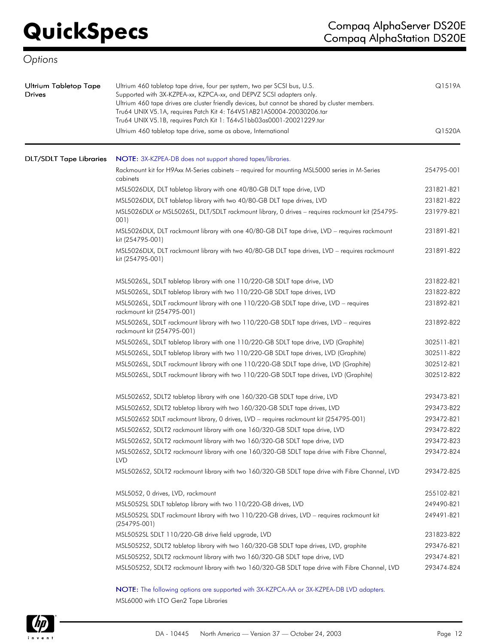| Ultrium Tabletop Tape<br>Drives | Ultrium 460 tabletop tape drive, four per system, two per SCSI bus, U.S.<br>Supported with 3X-KZPEA-xx, KZPCA-xx, and DEPVZ SCSI adapters only.<br>Ultrium 460 tape drives are cluster friendly devices, but cannot be shared by cluster members.<br>Tru64 UNIX V5.1A, requires Patch Kit 4: T64V51AB21AS0004-20030206.tar<br>Tru64 UNIX V5.1B, requires Patch Kit 1: T64v51bb03as0001-20021229.tar | Q1519A     |
|---------------------------------|-----------------------------------------------------------------------------------------------------------------------------------------------------------------------------------------------------------------------------------------------------------------------------------------------------------------------------------------------------------------------------------------------------|------------|
|                                 | Ultrium 460 tabletop tape drive, same as above, International                                                                                                                                                                                                                                                                                                                                       | Q1520A     |
| <b>DLT/SDLT Tape Libraries</b>  | NOTE: 3X-KZPEA-DB does not support shared tapes/libraries.                                                                                                                                                                                                                                                                                                                                          |            |
|                                 | Rackmount kit for H9Axx M-Series cabinets - required for mounting MSL5000 series in M-Series<br>cabinets                                                                                                                                                                                                                                                                                            | 254795-001 |
|                                 | MSL5026DLX, DLT tabletop library with one 40/80-GB DLT tape drive, LVD                                                                                                                                                                                                                                                                                                                              | 231821-B21 |
|                                 | MSL5026DLX, DLT tabletop library with two 40/80-GB DLT tape drives, LVD                                                                                                                                                                                                                                                                                                                             | 231821-B22 |
|                                 | MSL5026DLX or MSL5026SL, DLT/SDLT rackmount library, 0 drives - requires rackmount kit (254795-<br>001)                                                                                                                                                                                                                                                                                             | 231979-B21 |
|                                 | MSL5026DLX, DLT rackmount library with one 40/80-GB DLT tape drive, LVD - requires rackmount<br>kit (254795-001)                                                                                                                                                                                                                                                                                    | 231891-B21 |
|                                 | MSL5026DLX, DLT rackmount library with two 40/80-GB DLT tape drives, LVD - requires rackmount<br>kit (254795-001)                                                                                                                                                                                                                                                                                   | 231891-B22 |
|                                 | MSL5026SL, SDLT tabletop library with one 110/220-GB SDLT tape drive, LVD                                                                                                                                                                                                                                                                                                                           | 231822-B21 |
|                                 | MSL5026SL, SDLT tabletop library with two 110/220-GB SDLT tape drives, LVD                                                                                                                                                                                                                                                                                                                          | 231822-B22 |
|                                 | MSL5026SL, SDLT rackmount library with one 110/220-GB SDLT tape drive, LVD - requires<br>rackmount kit (254795-001)                                                                                                                                                                                                                                                                                 | 231892-B21 |
|                                 | MSL5026SL, SDLT rackmount library with two 110/220-GB SDLT tape drives, LVD - requires<br>rackmount kit (254795-001)                                                                                                                                                                                                                                                                                | 231892-B22 |
|                                 | MSL5026SL, SDLT tabletop library with one 110/220-GB SDLT tape drive, LVD (Graphite)                                                                                                                                                                                                                                                                                                                | 302511-B21 |
|                                 | MSL5026SL, SDLT tabletop library with two 110/220-GB SDLT tape drives, LVD (Graphite)                                                                                                                                                                                                                                                                                                               | 302511-B22 |
|                                 | MSL5026SL, SDLT rackmount library with one 110/220-GB SDLT tape drive, LVD (Graphite)                                                                                                                                                                                                                                                                                                               | 302512-B21 |
|                                 | MSL5026SL, SDLT rackmount library with two 110/220-GB SDLT tape drives, LVD (Graphite)                                                                                                                                                                                                                                                                                                              | 302512-B22 |
|                                 | MSL5026S2, SDLT2 tabletop library with one 160/320-GB SDLT tape drive, LVD                                                                                                                                                                                                                                                                                                                          | 293473-B21 |
|                                 | MSL5026S2, SDLT2 tabletop library with two 160/320-GB SDLT tape drives, LVD                                                                                                                                                                                                                                                                                                                         | 293473-B22 |
|                                 | MSL5026S2 SDLT rackmount library, 0 drives, LVD - requires rackmount kit (254795-001)                                                                                                                                                                                                                                                                                                               | 293472-B21 |
|                                 | MSL5026S2, SDLT2 rackmount library with one 160/320-GB SDLT tape drive, LVD                                                                                                                                                                                                                                                                                                                         | 293472-B22 |
|                                 | MSL5026S2, SDLT2 rackmount library with two 160/320-GB SDLT tape drive, LVD                                                                                                                                                                                                                                                                                                                         | 293472-B23 |
|                                 | MSL5026S2, SDLT2 rackmount library with one 160/320-GB SDLT tape drive with Fibre Channel,<br><b>LVD</b>                                                                                                                                                                                                                                                                                            | 293472-B24 |
|                                 | MSL5026S2, SDLT2 rackmount library with two 160/320-GB SDLT tape drive with Fibre Channel, LVD                                                                                                                                                                                                                                                                                                      | 293472-B25 |
|                                 | MSL5052, 0 drives, LVD, rackmount                                                                                                                                                                                                                                                                                                                                                                   | 255102-B21 |
|                                 | MSL5052SL SDLT tabletop library with two 110/220-GB drives, LVD                                                                                                                                                                                                                                                                                                                                     | 249490-B21 |
|                                 | MSL5052SL SDLT rackmount library with two 110/220-GB drives, LVD - requires rackmount kit<br>$(254795-001)$                                                                                                                                                                                                                                                                                         | 249491-B21 |
|                                 | MSL5052SL SDLT 110/220-GB drive field upgrade, LVD                                                                                                                                                                                                                                                                                                                                                  | 231823-B22 |
|                                 | MSL5052S2, SDLT2 tabletop library with two 160/320-GB SDLT tape drives, LVD, graphite                                                                                                                                                                                                                                                                                                               | 293476-B21 |
|                                 | MSL5052S2, SDLT2 rackmount library with two 160/320-GB SDLT tape drive, LVD                                                                                                                                                                                                                                                                                                                         | 293474-B21 |
|                                 | MSL5052S2, SDLT2 rackmount library with two 160/320-GB SDLT tape drive with Fibre Channel, LVD                                                                                                                                                                                                                                                                                                      | 293474-B24 |
|                                 | NOTE: The following options are supported with 3X-KZPCA-AA or 3X-KZPEA-DB LVD adapters.                                                                                                                                                                                                                                                                                                             |            |

MSL6000 with LTO Gen2 Tape Libraries

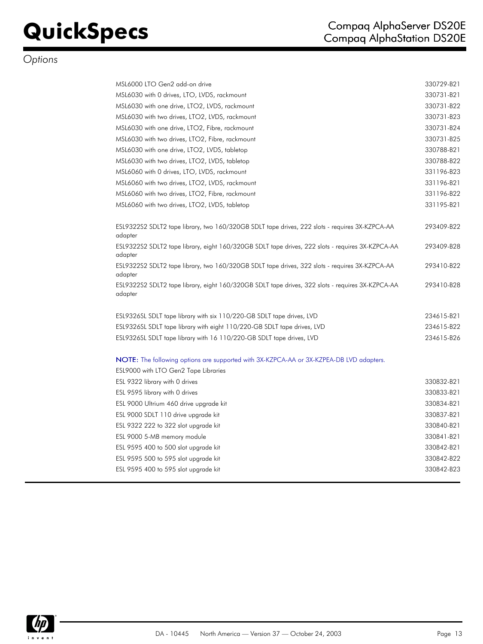| MSL6000 LTO Gen2 add-on drive                                                                               | 330729-B21 |
|-------------------------------------------------------------------------------------------------------------|------------|
| MSL6030 with 0 drives, LTO, LVDS, rackmount                                                                 | 330731-B21 |
| MSL6030 with one drive, LTO2, LVDS, rackmount                                                               | 330731-B22 |
| MSL6030 with two drives, LTO2, LVDS, rackmount                                                              | 330731-B23 |
| MSL6030 with one drive, LTO2, Fibre, rackmount                                                              | 330731-B24 |
| MSL6030 with two drives, LTO2, Fibre, rackmount                                                             | 330731-B25 |
| MSL6030 with one drive, LTO2, LVDS, tabletop                                                                | 330788-B21 |
| MSL6030 with two drives, LTO2, LVDS, tabletop                                                               | 330788-B22 |
| MSL6060 with 0 drives, LTO, LVDS, rackmount                                                                 | 331196-B23 |
| MSL6060 with two drives, LTO2, LVDS, rackmount                                                              | 331196-B21 |
| MSL6060 with two drives, LTO2, Fibre, rackmount                                                             | 331196-B22 |
| MSL6060 with two drives, LTO2, LVDS, tabletop                                                               | 331195-B21 |
|                                                                                                             |            |
| ESL9322S2 SDLT2 tape library, two 160/320GB SDLT tape drives, 222 slots - requires 3X-KZPCA-AA<br>adapter   | 293409-B22 |
| ESL9322S2 SDLT2 tape library, eight 160/320GB SDLT tape drives, 222 slots - requires 3X-KZPCA-AA<br>adapter | 293409-B28 |
| ESL9322S2 SDLT2 tape library, two 160/320GB SDLT tape drives, 322 slots - requires 3X-KZPCA-AA<br>adapter   | 293410-B22 |
| ESL9322S2 SDLT2 tape library, eight 160/320GB SDLT tape drives, 322 slots - requires 3X-KZPCA-AA<br>adapter | 293410-B28 |
| ESL9326SL SDLT tape library with six 110/220-GB SDLT tape drives, LVD                                       | 234615-B21 |
| ESL9326SL SDLT tape library with eight 110/220-GB SDLT tape drives, LVD                                     | 234615-B22 |
| ESL9326SL SDLT tape library with 16 110/220-GB SDLT tape drives, LVD                                        | 234615-B26 |
| NOTE: The following options are supported with 3X-KZPCA-AA or 3X-KZPEA-DB LVD adapters.                     |            |
| ESL9000 with LTO Gen2 Tape Libraries                                                                        |            |
| ESL 9322 library with 0 drives                                                                              | 330832-B21 |
| ESL 9595 library with 0 drives                                                                              | 330833-B21 |
| ESL 9000 Ultrium 460 drive upgrade kit                                                                      | 330834-B21 |
| ESL 9000 SDLT 110 drive uparade kit                                                                         | 330837-B21 |

| ESL YOYO IIDI'AI'V WITH U AIIVES       | 330833-BZT |
|----------------------------------------|------------|
| ESL 9000 Ultrium 460 drive upgrade kit | 330834-B21 |
| ESL 9000 SDLT 110 drive upgrade kit    | 330837-B21 |
| ESL 9322 222 to 322 slot upgrade kit   | 330840-B21 |
| ESL 9000 5-MB memory module            | 330841-B21 |
| ESL 9595 400 to 500 slot upgrade kit   | 330842-B21 |
| ESL 9595 500 to 595 slot upgrade kit   | 330842-B22 |
| ESL 9595 400 to 595 slot upgrade kit   | 330842-B23 |

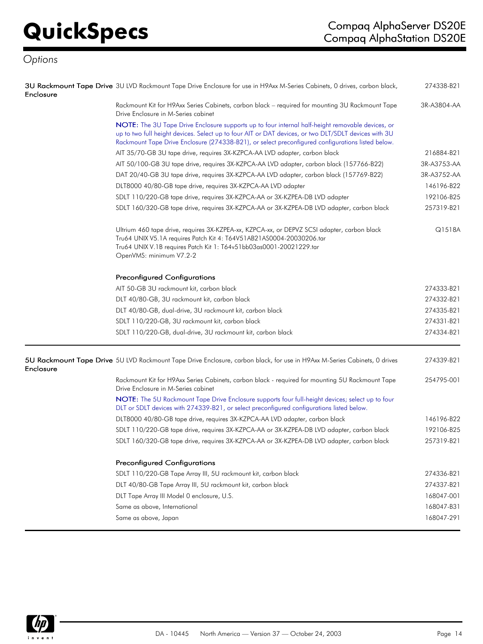| Enclosure | 3U Rackmount Tape Drive 3U LVD Rackmount Tape Drive Enclosure for use in H9Axx M-Series Cabinets, 0 drives, carbon black,                                                                                                                                                                                     | 274338-B21  |
|-----------|---------------------------------------------------------------------------------------------------------------------------------------------------------------------------------------------------------------------------------------------------------------------------------------------------------------|-------------|
|           | Rackmount Kit for H9Axx Series Cabinets, carbon black – required for mounting 3U Rackmount Tape<br>Drive Enclosure in M-Series cabinet                                                                                                                                                                        | 3R-A3804-AA |
|           | NOTE: The 3U Tape Drive Enclosure supports up to four internal half-height removable devices, or<br>up to two full height devices. Select up to four AIT or DAT devices, or two DLT/SDLT devices with 3U<br>Rackmount Tape Drive Enclosure (274338-B21), or select preconfigured configurations listed below. |             |
|           | AIT 35/70-GB 3U tape drive, requires 3X-KZPCA-AA LVD adapter, carbon black                                                                                                                                                                                                                                    | 216884-B21  |
|           | AIT 50/100-GB 3U tape drive, requires 3X-KZPCA-AA LVD adapter, carbon black (157766-B22)                                                                                                                                                                                                                      | 3R-A3753-AA |
|           | DAT 20/40-GB 3U tape drive, requires 3X-KZPCA-AA LVD adapter, carbon black (157769-B22)                                                                                                                                                                                                                       | 3R-A3752-AA |
|           | DLT8000 40/80-GB tape drive, requires 3X-KZPCA-AA LVD adapter                                                                                                                                                                                                                                                 | 146196-B22  |
|           | SDLT 110/220-GB tape drive, requires 3X-KZPCA-AA or 3X-KZPEA-DB LVD adapter                                                                                                                                                                                                                                   | 192106-B25  |
|           | SDLT 160/320-GB tape drive, requires 3X-KZPCA-AA or 3X-KZPEA-DB LVD adapter, carbon black                                                                                                                                                                                                                     | 257319-B21  |
|           | Ultrium 460 tape drive, requires 3X-KZPEA-xx, KZPCA-xx, or DEPVZ SCSI adapter, carbon black<br>Tru64 UNIX V5.1A requires Patch Kit 4: T64V51AB21AS0004-20030206.tar<br>Tru64 UNIX V.1B requires Patch Kit 1: T64v51bb03as0001-20021229.tar<br>OpenVMS: minimum V7.2-2                                         | Q1518A      |
|           | <b>Preconfigured Configurations</b>                                                                                                                                                                                                                                                                           |             |
|           | AIT 50-GB 3U rackmount kit, carbon black                                                                                                                                                                                                                                                                      | 274333-B21  |
|           | DLT 40/80-GB, 3U rackmount kit, carbon black                                                                                                                                                                                                                                                                  | 274332-B21  |
|           | DLT 40/80-GB, dual-drive, 3U rackmount kit, carbon black                                                                                                                                                                                                                                                      | 274335-B21  |
|           | SDLT 110/220-GB, 3U rackmount kit, carbon black                                                                                                                                                                                                                                                               | 274331-B21  |
|           | SDLT 110/220-GB, dual-drive, 3U rackmount kit, carbon black                                                                                                                                                                                                                                                   | 274334-B21  |
| Enclosure | 5U Rackmount Tape Drive 5U LVD Rackmount Tape Drive Enclosure, carbon black, for use in H9Axx M-Series Cabinets, 0 drives                                                                                                                                                                                     | 274339-B21  |
|           | Rackmount Kit for H9Axx Series Cabinets, carbon black - required for mounting 5U Rackmount Tape<br>Drive Enclosure in M-Series cabinet                                                                                                                                                                        | 254795-001  |
|           | NOTE: The 5U Rackmount Tape Drive Enclosure supports four full-height devices; select up to four<br>DLT or SDLT devices with 274339-B21, or select preconfigured configurations listed below.                                                                                                                 |             |
|           | DLT8000 40/80-GB tape drive, requires 3X-KZPCA-AA LVD adapter, carbon black                                                                                                                                                                                                                                   | 146196-B22  |
|           | SDLT 110/220-GB tape drive, requires 3X-KZPCA-AA or 3X-KZPEA-DB LVD adapter, carbon black                                                                                                                                                                                                                     | 192106-B25  |
|           | SDLT 160/320-GB tape drive, requires 3X-KZPCA-AA or 3X-KZPEA-DB LVD adapter, carbon black                                                                                                                                                                                                                     | 257319-B21  |
|           | <b>Preconfigured Configurations</b>                                                                                                                                                                                                                                                                           |             |
|           | SDLT 110/220-GB Tape Array III, 5U rackmount kit, carbon black                                                                                                                                                                                                                                                | 274336-B21  |
|           | DLT 40/80-GB Tape Array III, 5U rackmount kit, carbon black                                                                                                                                                                                                                                                   | 274337-B21  |
|           | DLT Tape Array III Model 0 enclosure, U.S.                                                                                                                                                                                                                                                                    | 168047-001  |
|           | Same as above, International                                                                                                                                                                                                                                                                                  | 168047-B31  |
|           | Same as above, Japan                                                                                                                                                                                                                                                                                          | 168047-291  |

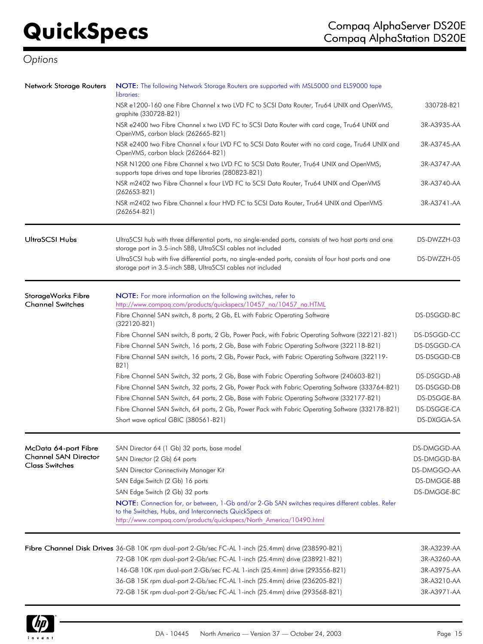| Network Storage Routers     | NOTE: The following Network Storage Routers are supported with MSL5000 and ELS9000 tape<br>libraries:                                                                                                                             |             |
|-----------------------------|-----------------------------------------------------------------------------------------------------------------------------------------------------------------------------------------------------------------------------------|-------------|
|                             | NSR e1200-160 one Fibre Channel x two LVD FC to SCSI Data Router, Tru64 UNIX and OpenVMS,<br>graphite (330728-B21)                                                                                                                | 330728-B21  |
|                             | NSR e2400 two Fibre Channel x two LVD FC to SCSI Data Router with card cage, Tru64 UNIX and<br>OpenVMS, carbon black (262665-B21)                                                                                                 | 3R-A3935-AA |
|                             | NSR e2400 two Fibre Channel x four LVD FC to SCSI Data Router with no card cage, Tru64 UNIX and<br>OpenVMS, carbon black (262664-B21)                                                                                             | 3R-A3745-AA |
|                             | NSR N1200 one Fibre Channel x two LVD FC to SCSI Data Router, Tru64 UNIX and OpenVMS,<br>supports tape drives and tape libraries (280823-B21)                                                                                     | 3R-A3747-AA |
|                             | NSR m2402 two Fibre Channel x four LVD FC to SCSI Data Router, Tru64 UNIX and OpenVMS<br>$(262653-B21)$                                                                                                                           | 3R-A3740-AA |
|                             | NSR m2402 two Fibre Channel x four HVD FC to SCSI Data Router, Tru64 UNIX and OpenVMS<br>$(262654-B21)$                                                                                                                           | 3R-A3741-AA |
| <b>UltraSCSI Hubs</b>       | UltraSCSI hub with three differential ports, no single-ended ports, consists of two host ports and one<br>storage port in 3.5-inch SBB, UltraSCSI cables not included                                                             | DS-DWZZH-03 |
|                             | UltraSCSI hub with five differential ports, no single-ended ports, consists of four host ports and one<br>storage port in 3.5-inch SBB, UltraSCSI cables not included                                                             | DS-DWZZH-05 |
| StorageWorks Fibre          | NOTE: For more information on the following switches, refer to                                                                                                                                                                    |             |
| <b>Channel Switches</b>     | http://www.compaq.com/products/quickspecs/10457 na/10457 na.HTML                                                                                                                                                                  |             |
|                             | Fibre Channel SAN switch, 8 ports, 2 Gb, EL with Fabric Operating Software<br>$(322120-B21)$                                                                                                                                      | DS-DSGGD-BC |
|                             | Fibre Channel SAN switch, 8 ports, 2 Gb, Power Pack, with Fabric Operating Software (322121-B21)                                                                                                                                  | DS-DSGGD-CC |
|                             | Fibre Channel SAN Switch, 16 ports, 2 Gb, Base with Fabric Operating Software (322118-B21)                                                                                                                                        | DS-DSGGD-CA |
|                             | Fibre Channel SAN switch, 16 ports, 2 Gb, Power Pack, with Fabric Operating Software (322119-<br>B21)                                                                                                                             | DS-DSGGD-CB |
|                             | Fibre Channel SAN Switch, 32 ports, 2 Gb, Base with Fabric Operating Software (240603-B21)                                                                                                                                        | DS-DSGGD-AB |
|                             | Fibre Channel SAN Switch, 32 ports, 2 Gb, Power Pack with Fabric Operating Software (333764-B21)                                                                                                                                  | DS-DSGGD-DB |
|                             | Fibre Channel SAN Switch, 64 ports, 2 Gb, Base with Fabric Operating Software (332177-B21)                                                                                                                                        | DS-DSGGE-BA |
|                             | Fibre Channel SAN Switch, 64 ports, 2 Gb, Power Pack with Fabric Operating Software (332178-B21)                                                                                                                                  | DS-DSGGE-CA |
|                             | Short wave optical GBIC (380561-B21)                                                                                                                                                                                              | DS-DXGGA-SA |
| McData 64-port Fibre        | SAN Director 64 (1 Gb) 32 ports, base model                                                                                                                                                                                       | DS-DMGGD-AA |
| <b>Channel SAN Director</b> | SAN Director (2 Gb) 64 ports                                                                                                                                                                                                      | DS-DMGGD-BA |
| <b>Class Switches</b>       | SAN Director Connectivity Manager Kit                                                                                                                                                                                             | DS-DMGGO-AA |
|                             | SAN Edge Switch (2 Gb) 16 ports                                                                                                                                                                                                   | DS-DMGGE-BB |
|                             | SAN Edge Switch (2 Gb) 32 ports                                                                                                                                                                                                   | DS-DMGGE-BC |
|                             | NOTE: Connection for, or between, 1-Gb and/or 2-Gb SAN switches requires different cables. Refer<br>to the Switches, Hubs, and Interconnects QuickSpecs at:<br>http://www.compaq.com/products/quickspecs/North America/10490.html |             |
|                             |                                                                                                                                                                                                                                   |             |
|                             | Fibre Channel Disk Drives 36-GB 10K rpm dual-port 2-Gb/sec FC-AL 1-inch (25.4mm) drive (238590-B21)                                                                                                                               | 3R-A3239-AA |
|                             | 72-GB 10K rpm dual-port 2-Gb/sec FC-AL 1-inch (25.4mm) drive (238921-B21)                                                                                                                                                         | 3R-A3260-AA |
|                             | 146-GB 10K rpm dual-port 2-Gb/sec FC-AL 1-inch (25.4mm) drive (293556-B21)                                                                                                                                                        | 3R-A3975-AA |
|                             | 36-GB 15K rpm dual-port 2-Gb/sec FC-AL 1-inch (25.4mm) drive (236205-B21)                                                                                                                                                         | 3R-A3210-AA |
|                             | 72-GB 15K rpm dual-port 2-Gb/sec FC-AL 1-inch (25.4mm) drive (293568-B21)                                                                                                                                                         | 3R-A3971-AA |

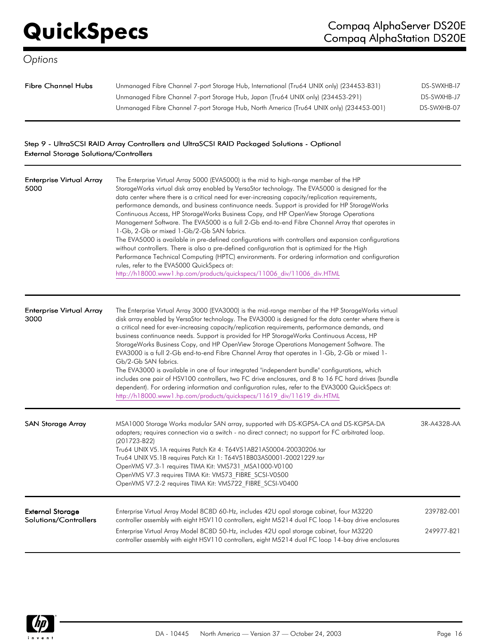| Fibre Channel Hubs | Unmanaged Fibre Channel 7-port Storage Hub, International (Tru64 UNIX only) (234453-B31) | DS-SWXHB-17 |
|--------------------|------------------------------------------------------------------------------------------|-------------|
|                    | Unmanaged Fibre Channel 7-port Storage Hub, Japan (Tru64 UNIX only) (234453-291)         | DS-SWXHB-J7 |
|                    | Unmanaged Fibre Channel 7-port Storage Hub, North America (Tru64 UNIX only) (234453-001) | DS-SWXHB-07 |

## Step 9 - UltraSCSI RAID Array Controllers and UltraSCSI RAID Packaged Solutions - Optional External Storage Solutions/Controllers

| <b>Enterprise Virtual Array</b><br>5000          | The Enterprise Virtual Array 5000 (EVA5000) is the mid to high-range member of the HP<br>StorageWorks virtual disk array enabled by VersaStor technology. The EVA5000 is designed for the<br>data center where there is a critical need for ever-increasing capacity/replication requirements,<br>performance demands, and business continuance needs. Support is provided for HP StorageWorks<br>Continuous Access, HP StorageWorks Business Copy, and HP OpenView Storage Operations<br>Management Software. The EVA5000 is a full 2-Gb end-to-end Fibre Channel Array that operates in<br>1-Gb, 2-Gb or mixed 1-Gb/2-Gb SAN fabrics.<br>The EVA5000 is available in pre-defined configurations with controllers and expansion configurations<br>without controllers. There is also a pre-defined configuration that is optimized for the High<br>Performance Technical Computing (HPTC) environments. For ordering information and configuration<br>rules, refer to the EVA5000 QuickSpecs at:<br>http://h18000.www1.hp.com/products/quickspecs/11006 div/11006 div.HTML |                          |
|--------------------------------------------------|-----------------------------------------------------------------------------------------------------------------------------------------------------------------------------------------------------------------------------------------------------------------------------------------------------------------------------------------------------------------------------------------------------------------------------------------------------------------------------------------------------------------------------------------------------------------------------------------------------------------------------------------------------------------------------------------------------------------------------------------------------------------------------------------------------------------------------------------------------------------------------------------------------------------------------------------------------------------------------------------------------------------------------------------------------------------------------|--------------------------|
| Enterprise Virtual Array<br>3000                 | The Enterprise Virtual Array 3000 (EVA3000) is the mid-range member of the HP StorageWorks virtual<br>disk array enabled by VersaStor technology. The EVA3000 is designed for the data center where there is<br>a critical need for ever-increasing capacity/replication requirements, performance demands, and<br>business continuance needs. Support is provided for HP StorageWorks Continuous Access, HP<br>StorageWorks Business Copy, and HP OpenView Storage Operations Management Software. The<br>EVA3000 is a full 2-Gb end-to-end Fibre Channel Array that operates in 1-Gb, 2-Gb or mixed 1-<br>Gb/2-Gb SAN fabrics.<br>The EVA3000 is available in one of four integrated "independent bundle" configurations, which<br>includes one pair of HSV100 controllers, two FC drive enclosures, and 8 to 16 FC hard drives (bundle<br>dependent). For ordering information and configuration rules, refer to the EVA3000 QuickSpecs at:<br>http://h18000.www1.hp.com/products/quickspecs/11619 div/11619 div.HTML                                                    |                          |
| <b>SAN Storage Array</b>                         | MSA1000 Storage Works modular SAN array, supported with DS-KGPSA-CA and DS-KGPSA-DA<br>adapters; requires connection via a switch - no direct connect; no support for FC arbitrated loop.<br>(201723-B22)<br>Tru64 UNIX V5.1A requires Patch Kit 4: T64V51AB21AS0004-20030206.tar<br>Tru64 UNIX V5.1B requires Patch Kit 1: T64V51BB03AS0001-20021229.tar<br>OpenVMS V7.3-1 requires TIMA Kit: VMS731 MSA1000-V0100<br>OpenVMS V7.3 requires TIMA Kit: VMS73 FIBRE SCSI-V0500<br>OpenVMS V7.2-2 requires TIMA Kit: VMS722 FIBRE SCSI-V0400                                                                                                                                                                                                                                                                                                                                                                                                                                                                                                                                  | 3R-A4328-AA              |
| <b>External Storage</b><br>Solutions/Controllers | Enterprise Virtual Array Model 8C8D 60-Hz, includes 42U opal storage cabinet, four M3220<br>controller assembly with eight HSV110 controllers, eight M5214 dual FC loop 14-bay drive enclosures<br>Enterprise Virtual Array Model 8C8D 50-Hz, includes 42U opal storage cabinet, four M3220<br>controller assembly with eight HSV110 controllers, eight M5214 dual FC loop 14-bay drive enclosures                                                                                                                                                                                                                                                                                                                                                                                                                                                                                                                                                                                                                                                                          | 239782-001<br>249977-B21 |

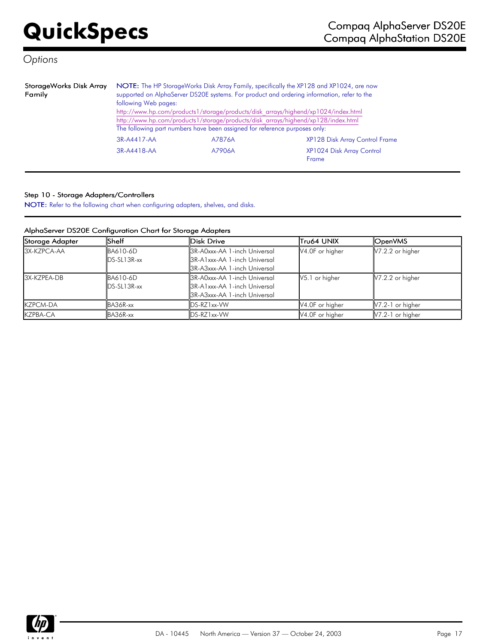| StorageWorks Disk Array<br>Family | following Web pages:                                        | The following part numbers have been assigned for reference purposes only: | NOTE: The HP StorageWorks Disk Array Family, specifically the XP128 and XP1024, are now<br>supported on AlphaServer DS20E systems. For product and ordering information, refer to the<br>http://www.hp.com/products1/storage/products/disk_arrays/highend/xp1024/index.html<br>http://www.hp.com/products1/storage/products/disk_arrays/highend/xp128/index.html |  |  |
|-----------------------------------|-------------------------------------------------------------|----------------------------------------------------------------------------|------------------------------------------------------------------------------------------------------------------------------------------------------------------------------------------------------------------------------------------------------------------------------------------------------------------------------------------------------------------|--|--|
|                                   | 3R-A4417-AA                                                 | A7876A                                                                     | XP128 Disk Array Control Frame                                                                                                                                                                                                                                                                                                                                   |  |  |
|                                   | XP1024 Disk Array Control<br>3R-A4418-AA<br>A7906A<br>Frame |                                                                            |                                                                                                                                                                                                                                                                                                                                                                  |  |  |

### Step 10 - Storage Adapters/Controllers

NOTE: Refer to the following chart when configuring adapters, shelves, and disks.

### AlphaServer DS20E Configuration Chart for Storage Adapters

| Storage Adapter  | Shelf                 | Disk Drive                   | Tru64 UNIX                 | <b>OpenVMS</b>     |
|------------------|-----------------------|------------------------------|----------------------------|--------------------|
| 3X-KZPCA-AA      | BA610-6D              | 3R-A0xxx-AA 1-inch Universal | V4.0F or higher            | $V7.2.2$ or higher |
|                  | $\text{IDS-SL13R-xx}$ | 3R-A1xxx-AA 1-inch Universal |                            |                    |
|                  |                       | 3R-A3xxx-AA 1-inch Universal |                            |                    |
| 3X-KZPEA-DB      | BA610-6D              | 3R-A0xxx-AA 1-inch Universal | V5.1 or higher             | $V7.2.2$ or higher |
|                  | $\text{IDS-SL13R-xx}$ | 3R-A1xxx-AA 1-inch Universal |                            |                    |
|                  |                       | 3R-A3xxx-AA 1-inch Universal |                            |                    |
| <b>IKZPCM-DA</b> | BA36R-xx              | DS-RZ1xx-VW                  | $\mathsf{V4.0F}$ or higher | $V7.2-1$ or higher |
| <b>IKZPBA-CA</b> | BA36R-xx              | $\textsf{IDS-RZ1xx-WW}$      | V4.0F or higher            | $V7.2-1$ or higher |

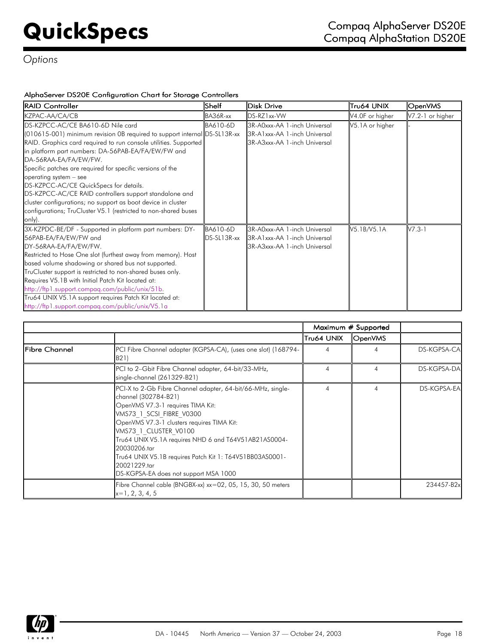## AlphaServer DS20E Configuration Chart for Storage Controllers

| <b>RAID Controller</b>                                                    | Shelf          | Disk Drive                   | Tru64 UNIX      | OpenVMS            |
|---------------------------------------------------------------------------|----------------|------------------------------|-----------------|--------------------|
| KZPAC-AA/CA/CB                                                            | BA36R-xx       | DS-RZ1xx-VW                  | V4.0F or higher | $V7.2-1$ or higher |
| DS-KZPCC-AC/CE BA610-6D Nile card                                         | BA610-6D       | 3R-A0xxx-AA 1-inch Universal | V5.1A or higher |                    |
| (010615-001) minimum revision 0B required to support internal DS-SL13R-xx |                | 3R-A1xxx-AA 1-inch Universal |                 |                    |
| RAID. Graphics card required to run console utilities. Supported          |                | 3R-A3xxx-AA 1-inch Universal |                 |                    |
| in platform part numbers: DA-56PAB-EA/FA/EW/FW and                        |                |                              |                 |                    |
| DA-56RAA-EA/FA/EW/FW.                                                     |                |                              |                 |                    |
| Specific patches are required for specific versions of the                |                |                              |                 |                    |
| operating system - see                                                    |                |                              |                 |                    |
| DS-KZPCC-AC/CE QuickSpecs for details.                                    |                |                              |                 |                    |
| DS-KZPCC-AC/CE RAID controllers support standalone and                    |                |                              |                 |                    |
| cluster configurations; no support as boot device in cluster              |                |                              |                 |                    |
| configurations; TruCluster V5.1 (restricted to non-shared buses           |                |                              |                 |                    |
| $ only\rangle.$                                                           |                |                              |                 |                    |
| 3X-KZPDC-BE/DF - Supported in platform part numbers: DY-                  | BA610-6D       | 3R-A0xxx-AA 1-inch Universal | V5.1B/V5.1A     | $V7.3-1$           |
| 56PAB-EA/FA/EW/FW and                                                     | $DS-SL13R$ -xx | 3R-A1xxx-AA 1-inch Universal |                 |                    |
| DY-56RAA-EA/FA/EW/FW.                                                     |                | 3R-A3xxx-AA 1-inch Universal |                 |                    |
| Restricted to Hose One slot (furthest away from memory). Host             |                |                              |                 |                    |
| based volume shadowing or shared bus not supported.                       |                |                              |                 |                    |
| TruCluster support is restricted to non-shared buses only.                |                |                              |                 |                    |
| Requires V5.1B with Initial Patch Kit located at:                         |                |                              |                 |                    |
| http://ftp1.support.compag.com/public/unix/51b.                           |                |                              |                 |                    |
| Tru64 UNIX V5.1A support requires Patch Kit located at:                   |                |                              |                 |                    |
| http://ftp1.support.compag.com/public/unix/V5.1a                          |                |                              |                 |                    |

|                |                                                                                                                                                                                                                                                                                                                                                                                                                           |            | Maximum # Supported |             |
|----------------|---------------------------------------------------------------------------------------------------------------------------------------------------------------------------------------------------------------------------------------------------------------------------------------------------------------------------------------------------------------------------------------------------------------------------|------------|---------------------|-------------|
|                |                                                                                                                                                                                                                                                                                                                                                                                                                           | Tru64 UNIX | OpenVMS             |             |
| lFibre Channel | PCI Fibre Channel adapter (KGPSA-CA), (uses one slot) (168794-<br>B21)                                                                                                                                                                                                                                                                                                                                                    | 4          | 4                   | DS-KGPSA-CA |
|                | PCI to 2-Gbit Fibre Channel adapter, 64-bit/33-MHz,<br>single-channel (261329-B21)                                                                                                                                                                                                                                                                                                                                        | 4          | 4                   | DS-KGPSA-DA |
|                | PCI-X to 2-Gb Fibre Channel adapter, 64-bit/66-MHz, single-<br>channel (302784-B21)<br>OpenVMS V7.3-1 requires TIMA Kit:<br>VMS73 1 SCSI FIBRE V0300<br>OpenVMS V7.3-1 clusters requires TIMA Kit:<br>VMS73 1 CLUSTER V0100<br>Tru64 UNIX V5.1A requires NHD 6 and T64V51AB21AS0004-<br>20030206.tar<br>Tru64 UNIX V5.1B requires Patch Kit 1: T64V51BB03AS0001-<br>20021229.tar<br>DS-KGPSA-EA does not support MSA 1000 | 4          | 4                   | DS-KGPSA-EA |
|                | Fibre Channel cable (BNGBX-xx) xx=02, 05, 15, 30, 50 meters<br>$\vert x=1, 2, 3, 4, 5 \vert$                                                                                                                                                                                                                                                                                                                              |            |                     | 234457-B2xl |

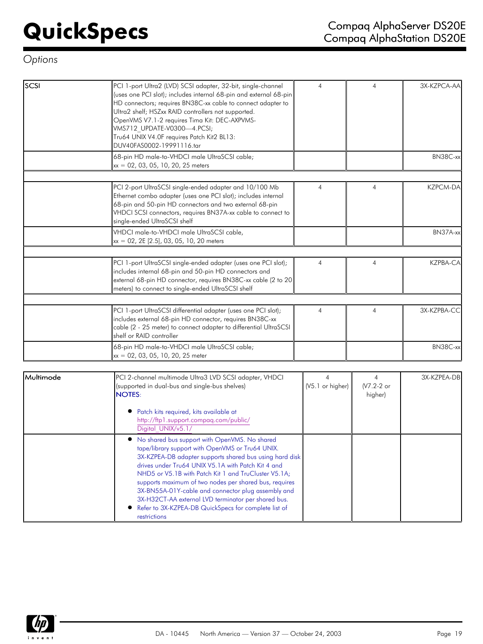| scs | PCI 1-port Ultra2 (LVD) SCSI adapter, 32-bit, single-channel<br>(uses one PCI slot); includes internal 68-pin and external 68-pin<br>HD connectors; requires BN38C-xx cable to connect adapter to<br>Ultra2 shelf; HSZxx RAID controllers not supported.<br>OpenVMS V7.1-2 requires Tima Kit: DEC-AXPVMS-<br>VMS712 UPDATE-V0300-4.PCSI;<br>Tru64 UNIX V4.0F requires Patch Kit2 BL13:<br>DUV40FAS0002-19991116.tar | $\overline{4}$ | 4              | 3X-KZPCA-AA     |
|-----|---------------------------------------------------------------------------------------------------------------------------------------------------------------------------------------------------------------------------------------------------------------------------------------------------------------------------------------------------------------------------------------------------------------------|----------------|----------------|-----------------|
|     | 68-pin HD male-to-VHDCI male UltraSCSI cable;<br>$xx = 02, 03, 05, 10, 20, 25$ meters                                                                                                                                                                                                                                                                                                                               |                |                | BN38C-xx        |
|     | PCI 2-port UltraSCSI single-ended adapter and 10/100 Mb<br>Ethernet combo adapter (uses one PCI slot); includes internal<br>68-pin and 50-pin HD connectors and two external 68-pin<br>VHDCI SCSI connectors, requires BN37A-xx cable to connect to<br>single-ended UltraSCSI shelf                                                                                                                                 | $\overline{4}$ | $\overline{4}$ | <b>KZPCM-DA</b> |
|     | VHDCI male-to-VHDCI male UltraSCSI cable,<br>xx = 02, 2E [2.5], 03, 05, 10, 20 meters                                                                                                                                                                                                                                                                                                                               |                |                | BN37A-xxl       |
|     | PCI 1-port UltraSCSI single-ended adapter (uses one PCI slot);<br>includes internal 68-pin and 50-pin HD connectors and<br>external 68-pin HD connector, requires BN38C-xx cable (2 to 20<br>meters) to connect to single-ended UltraSCSI shelf                                                                                                                                                                     | $\overline{4}$ | 4              | <b>KZPBA-CA</b> |
|     | PCI 1-port UltraSCSI differential adapter (uses one PCI slot);<br>includes external 68-pin HD connector, requires BN38C-xx<br>cable (2 - 25 meter) to connect adapter to differential UltraSCSI<br>shelf or RAID controller                                                                                                                                                                                         | $\overline{4}$ | 4              | 3X-KZPBA-CC     |
|     | 68-pin HD male-to-VHDCI male UltraSCSI cable;<br>xx = 02, 03, 05, 10, 20, 25 meter                                                                                                                                                                                                                                                                                                                                  |                |                | BN38C-xx        |
|     |                                                                                                                                                                                                                                                                                                                                                                                                                     |                |                |                 |

| Multimode | PCI 2-channel multimode Ultra3 LVD SCSI adapter, VHDCI<br>(supported in dual-bus and single-bus shelves)<br><b>NOTES:</b>                                                                                                                                                                                                                                                                                                                                                                                                 | (V5.1 or higher) | (V7.2-2 or<br>higher) | 3X-KZPEA-DB |
|-----------|---------------------------------------------------------------------------------------------------------------------------------------------------------------------------------------------------------------------------------------------------------------------------------------------------------------------------------------------------------------------------------------------------------------------------------------------------------------------------------------------------------------------------|------------------|-----------------------|-------------|
|           | Patch kits required, kits available at<br>http://ftp1.support.compag.com/public/<br>Digital UNIX/v5.1/                                                                                                                                                                                                                                                                                                                                                                                                                    |                  |                       |             |
|           | No shared bus support with OpenVMS. No shared<br>tape/library support with OpenVMS or Tru64 UNIX.<br>3X-KZPEA-DB adapter supports shared bus using hard disk<br>drives under Tru64 UNIX V5.1A with Patch Kit 4 and<br>NHD5 or V5.1B with Patch Kit 1 and TruCluster V5.1A;<br>supports maximum of two nodes per shared bus, requires<br>3X-BN55A-01Y-cable and connector plug assembly and<br>3X-H32CT-AA external LVD terminator per shared bus.<br>Refer to 3X-KZPEA-DB QuickSpecs for complete list of<br>restrictions |                  |                       |             |

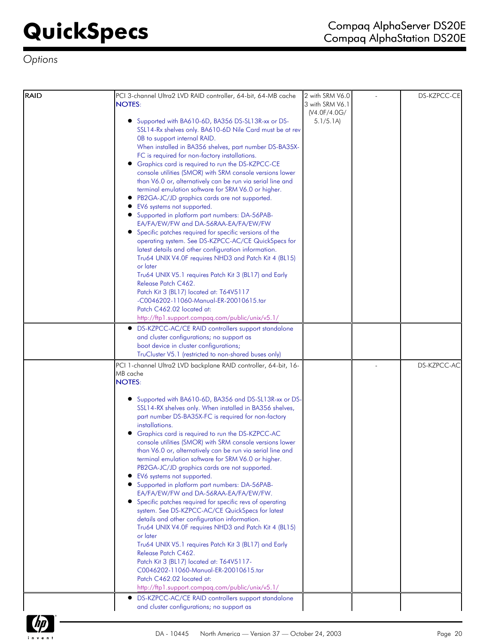| RAID | PCI 3-channel Ultra2 LVD RAID controller, 64-bit, 64-MB cache<br><b>NOTES:</b>                                                                                                                                                                                                                                                                                                                                                                                                                                                                                                                                                                                                                                                                                                                                                                                                                                                                                                                                                                                                                                                                                                   | 2 with SRM V6.0<br>3 with SRM V6.1 | DS-KZPCC-CE |
|------|----------------------------------------------------------------------------------------------------------------------------------------------------------------------------------------------------------------------------------------------------------------------------------------------------------------------------------------------------------------------------------------------------------------------------------------------------------------------------------------------------------------------------------------------------------------------------------------------------------------------------------------------------------------------------------------------------------------------------------------------------------------------------------------------------------------------------------------------------------------------------------------------------------------------------------------------------------------------------------------------------------------------------------------------------------------------------------------------------------------------------------------------------------------------------------|------------------------------------|-------------|
|      | Supported with BA610-6D, BA356 DS-SL13R-xx or DS-<br>SSL14-Rx shelves only. BA610-6D Nile Card must be at rev<br>OB to support internal RAID.<br>When installed in BA356 shelves, part number DS-BA35X-<br>FC is required for non-factory installations.<br>• Graphics card is required to run the DS-KZPCC-CE<br>console utilities (SMOR) with SRM console versions lower<br>than V6.0 or, alternatively can be run via serial line and<br>terminal emulation software for SRM V6.0 or higher.<br>• PB2GA-JC/JD graphics cards are not supported.<br>EV6 systems not supported.<br>• Supported in platform part numbers: DA-56PAB-<br>EA/FA/EW/FW and DA-56RAA-EA/FA/EW/FW<br>• Specific patches required for specific versions of the<br>operating system. See DS-KZPCC-AC/CE QuickSpecs for<br>latest details and other configuration information.<br>Tru64 UNIX V4.0F requires NHD3 and Patch Kit 4 (BL15)<br>or later<br>Tru64 UNIX V5.1 requires Patch Kit 3 (BL17) and Early<br>Release Patch C462.<br>Patch Kit 3 (BL17) located at: T64V5117<br>-C0046202-11060-Manual-ER-20010615.tar<br>Patch C462.02 located at:<br>http://ftp1.support.compaq.com/public/unix/v5.1/ | (V4.0F/4.0G/<br>5.1/5.1A           |             |
|      | DS-KZPCC-AC/CE RAID controllers support standalone<br>$\bullet$<br>and cluster configurations; no support as<br>boot device in cluster configurations;<br>TruCluster V5.1 (restricted to non-shared buses only)                                                                                                                                                                                                                                                                                                                                                                                                                                                                                                                                                                                                                                                                                                                                                                                                                                                                                                                                                                  |                                    |             |
|      | PCI 1-channel Ultra2 LVD backplane RAID controller, 64-bit, 16-<br>MB cache<br><b>NOTES:</b>                                                                                                                                                                                                                                                                                                                                                                                                                                                                                                                                                                                                                                                                                                                                                                                                                                                                                                                                                                                                                                                                                     |                                    | DS-KZPCC-AC |
|      | Supported with BA610-6D, BA356 and DS-SL13R-xx or DS-<br>●<br>SSL14-RX shelves only. When installed in BA356 shelves,<br>part number DS-BA35X-FC is required for non-factory<br>installations.<br>Graphics card is required to run the DS-KZPCC-AC<br>console utilities (SMOR) with SRM console versions lower<br>than V6.0 or, alternatively can be run via serial line and<br>terminal emulation software for SRM V6.0 or higher.<br>PB2GA-JC/JD graphics cards are not supported.<br>EV6 systems not supported.<br>Supported in platform part numbers: DA-56PAB-<br>EA/FA/EW/FW and DA-56RAA-EA/FA/EW/FW.<br>• Specific patches required for specific revs of operating<br>system. See DS-KZPCC-AC/CE QuickSpecs for latest<br>details and other configuration information.<br>Tru64 UNIX V4.0F requires NHD3 and Patch Kit 4 (BL15)<br>or later<br>Tru64 UNIX V5.1 requires Patch Kit 3 (BL17) and Early<br>Release Patch C462.<br>Patch Kit 3 (BL17) located at: T64V5117-<br>C0046202-11060-Manual-ER-20010615.tar<br>Patch C462.02 located at:<br>http://ftp1.support.compaq.com/public/unix/v5.1/<br>DS-KZPCC-AC/CE RAID controllers support standalone                  |                                    |             |
|      | and cluster configurations; no support as                                                                                                                                                                                                                                                                                                                                                                                                                                                                                                                                                                                                                                                                                                                                                                                                                                                                                                                                                                                                                                                                                                                                        |                                    |             |

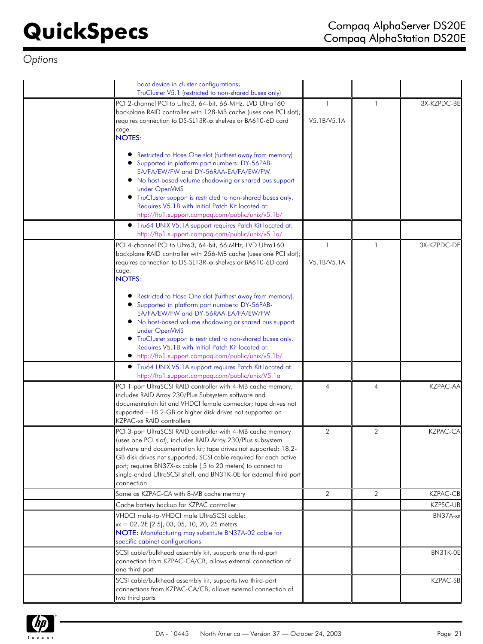| boot device in cluster configurations;<br>TruCluster V5.1 (restricted to non-shared buses only)                                                                                                                                                                                                                                                                                                                          |                             |                |                 |
|--------------------------------------------------------------------------------------------------------------------------------------------------------------------------------------------------------------------------------------------------------------------------------------------------------------------------------------------------------------------------------------------------------------------------|-----------------------------|----------------|-----------------|
| PCI 2-channel PCI to Ultra3, 64-bit, 66-MHz, LVD Ultra160<br>backplane RAID controller with 128-MB cache (uses one PCI slot);<br>requires connection to DS-SL13R-xx shelves or BA610-6D card<br>cage.<br><b>NOTES:</b>                                                                                                                                                                                                   | -1<br>V5.1B/V5.1A           | -1             | 3X-KZPDC-BE     |
| Restricted to Hose One slot (furthest away from memory)<br>Supported in platform part numbers: DY-56PAB-<br>EA/FA/EW/FW and DY-56RAA-EA/FA/EW/FW.<br>• No host-based volume shadowing or shared bus support<br>under OpenVMS<br>• TruCluster support is restricted to non-shared buses only.<br>Requires V5.1B with Initial Patch Kit located at:<br>http://ftp1.support.compaq.com/public/unix/v5.1b/                   |                             |                |                 |
| • Tru64 UNIX V5.1A support requires Patch Kit located at:<br>http://ftp1.support.compaq.com/public/unix/v5.1a/                                                                                                                                                                                                                                                                                                           |                             |                |                 |
| PCI 4-channel PCI to Ultra3, 64-bit, 66 MHz, LVD Ultra160<br>backplane RAID controller with 256-MB cache (uses one PCI slot);<br>requires connection to DS-SL13R-xx shelves or BA610-6D card<br>cage.<br><b>NOTES:</b>                                                                                                                                                                                                   | $\mathbf{1}$<br>V5.1B/V5.1A | -1             | 3X-KZPDC-DF     |
| Restricted to Hose One slot (furthest away from memory).<br>Supported in platform part numbers: DY-56PAB-<br>EA/FA/EW/FW and DY-56RAA-EA/FA/EW/FW<br>. No host-based volume shadowing or shared bus support<br>under OpenVMS<br>• TruCluster support is restricted to non-shared buses only.<br>Requires V5.1B with Initial Patch Kit located at:<br>• http://ftp1.support.compaq.com/public/unix/v5.1b/                 |                             |                |                 |
| • Tru64 UNIX V5.1A support requires Patch Kit located at:<br>http://ftp1.support.compaq.com/public/unix/V5.1a                                                                                                                                                                                                                                                                                                            |                             |                |                 |
| PCI 1-port UltraSCSI RAID controller with 4-MB cache memory,<br>includes RAID Array 230/Plus Subsystem software and<br>documentation kit and VHDCI female connector; tape drives not<br>supported - 18.2-GB or higher disk drives not supported on<br><b>KZPAC-xx RAID controllers</b>                                                                                                                                   | $\overline{4}$              | $\overline{4}$ | <b>KZPAC-AA</b> |
| PCI 3-port UltraSCSI RAID controller with 4-MB cache memory<br>(uses one PCI slot), includes RAID Array 230/Plus subsystem<br>software and documentation kit; tape drives not supported; 18.2-<br>GB disk drives not supported; SCSI cable required for each active<br>port; requires BN37X-xx cable (.3 to 20 meters) to connect to<br>single-ended UltraSCSI shelf, and BN31K-0E for external third port<br>connection | $\overline{2}$              | 2              | <b>KZPAC-CA</b> |
| Same as KZPAC-CA with 8-MB cache memory                                                                                                                                                                                                                                                                                                                                                                                  | $\overline{2}$              | $\overline{2}$ | <b>KZPAC-CB</b> |
| Cache battery backup for KZPAC controller                                                                                                                                                                                                                                                                                                                                                                                |                             |                | KZPSC-UB        |
| VHDCI male-to-VHDCI male UltraSCSI cable:<br>$xx = 02$ , 2E [2.5], 03, 05, 10, 20, 25 meters<br>NOTE: Manufacturing may substitute BN37A-02 cable for<br>specific cabinet configurations.                                                                                                                                                                                                                                |                             |                | BN37A-xx        |
| SCSI cable/bulkhead assembly kit, supports one third-port<br>connection from KZPAC-CA/CB, allows external connection of<br>one third port                                                                                                                                                                                                                                                                                |                             |                | BN31K-OE        |
| SCSI cable/bulkhead assembly kit, supports two third-port<br>connections from KZPAC-CA/CB, allows external connection of<br>two third ports                                                                                                                                                                                                                                                                              |                             |                | <b>KZPAC-SB</b> |

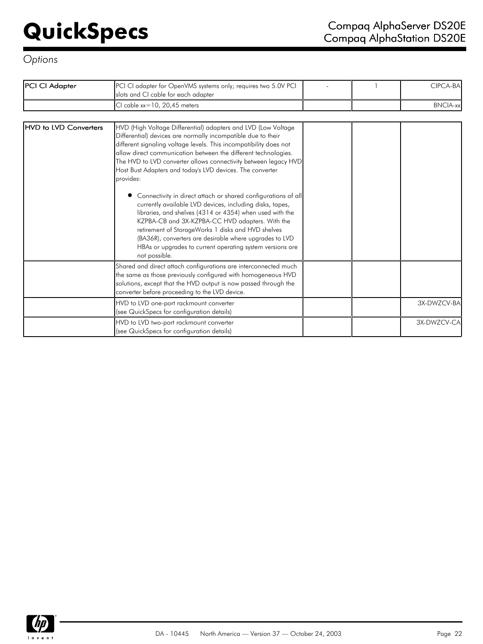| PCI CI Adapter               | PCI CI adapter for OpenVMS systems only; requires two 5.0V PCI<br>slots and CI cable for each adapter                                                                                                                                                                                                                                                                                                                                                                                                                                                                                                                                                                                                                                                                                                                                                        |  | CIPCA-BA        |
|------------------------------|--------------------------------------------------------------------------------------------------------------------------------------------------------------------------------------------------------------------------------------------------------------------------------------------------------------------------------------------------------------------------------------------------------------------------------------------------------------------------------------------------------------------------------------------------------------------------------------------------------------------------------------------------------------------------------------------------------------------------------------------------------------------------------------------------------------------------------------------------------------|--|-----------------|
|                              | CI cable $xx=10$ , 20,45 meters                                                                                                                                                                                                                                                                                                                                                                                                                                                                                                                                                                                                                                                                                                                                                                                                                              |  | <b>BNCIA-xx</b> |
|                              |                                                                                                                                                                                                                                                                                                                                                                                                                                                                                                                                                                                                                                                                                                                                                                                                                                                              |  |                 |
| <b>HVD</b> to LVD Converters | HVD (High Voltage Differential) adapters and LVD (Low Voltage<br>Differential) devices are normally incompatible due to their<br>different signaling voltage levels. This incompatibility does not<br>allow direct communication between the different technologies.<br>The HVD to LVD converter allows connectivity between legacy HVD<br>Host Bust Adapters and today's LVD devices. The converter<br>provides:<br>Connectivity in direct attach or shared configurations of all<br>currently available LVD devices, including disks, tapes,<br>libraries, and shelves (4314 or 4354) when used with the<br>KZPBA-CB and 3X-KZPBA-CC HVD adapters. With the<br>retirement of StorageWorks 1 disks and HVD shelves<br>(BA36R), converters are desirable where upgrades to LVD<br>HBAs or upgrades to current operating system versions are<br>not possible. |  |                 |
|                              | Shared and direct attach configurations are interconnected much<br>the same as those previously configured with homogeneous HVD<br>solutions, except that the HVD output is now passed through the<br>converter before proceeding to the LVD device.                                                                                                                                                                                                                                                                                                                                                                                                                                                                                                                                                                                                         |  |                 |
|                              | HVD to LVD one-port rackmount converter<br>(see QuickSpecs for configuration details)                                                                                                                                                                                                                                                                                                                                                                                                                                                                                                                                                                                                                                                                                                                                                                        |  | 3X-DWZCV-BA     |
|                              | HVD to LVD two-port rackmount converter<br>(see QuickSpecs for configuration details)                                                                                                                                                                                                                                                                                                                                                                                                                                                                                                                                                                                                                                                                                                                                                                        |  | 3X-DWZCV-CA     |

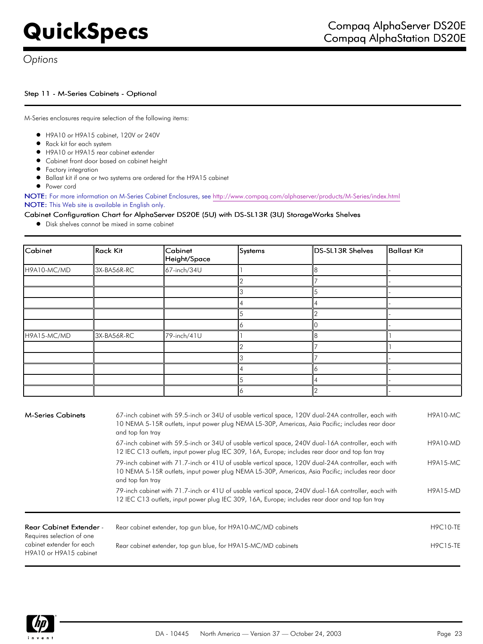## Step 11 - M-Series Cabinets - Optional

M-Series enclosures require selection of the following items:

- H9A10 or H9A15 cabinet, 120V or 240V
- Rack kit for each system
- H9A10 or H9A15 rear cabinet extender
- Cabinet front door based on cabinet height
- **•** Factory integration
- Ballast kit if one or two systems are ordered for the H9A15 cabinet
- **•** Power cord

NOTE: For more information on M-Series Cabinet Enclosures, see [http://www.compaq.com/alphaserver/products/M-Series/index.htm](http://www.compaq.com/alphaserver/products/M-Series/index.html%20)l NOTE: This Web site is available in English only.

## Cabinet Configuration Chart for AlphaServer DS20E (5U) with DS-SL13R (3U) StorageWorks Shelves

Disk shelves cannot be mixed in same cabinet

| Cabinet     | Rack Kit    | Cabinet<br>Height/Space | Systems | DS-SL13R Shelves | Ballast Kit |
|-------------|-------------|-------------------------|---------|------------------|-------------|
| H9A10-MC/MD | 3X-BA56R-RC | 67-inch/34U             |         | 8                |             |
|             |             |                         |         |                  |             |
|             |             |                         |         |                  |             |
|             |             |                         |         |                  |             |
|             |             |                         |         |                  |             |
|             |             |                         |         |                  |             |
| H9A15-MC/MD | 3X-BA56R-RC | 79-inch/41U             |         | 8                |             |
|             |             |                         |         |                  |             |
|             |             |                         |         |                  |             |
|             |             |                         |         |                  |             |
|             |             |                         |         |                  |             |
|             |             |                         |         |                  |             |

| <b>M-Series Cabinets</b>                                    | 67-inch cabinet with 59.5-inch or 34U of usable vertical space, 120V dual-24A controller, each with<br>10 NEMA 5-15R outlets, input power plug NEMA L5-30P, Americas, Asia Pacific; includes rear door<br>and top fan tray | <b>H9A10-MC</b> |
|-------------------------------------------------------------|----------------------------------------------------------------------------------------------------------------------------------------------------------------------------------------------------------------------------|-----------------|
|                                                             | 67-inch cabinet with 59.5-inch or 34U of usable vertical space, 240V dual-16A controller, each with<br>12 IEC C13 outlets, input power plug IEC 309, 16A, Europe; includes rear door and top fan tray                      | <b>H9A10-MD</b> |
|                                                             | 79-inch cabinet with 71.7-inch or 41U of usable vertical space, 120V dual-24A controller, each with<br>10 NEMA 5-15R outlets, input power plug NEMA L5-30P, Americas, Asia Pacific; includes rear door<br>and top fan tray | <b>H9A15-MC</b> |
|                                                             | 79-inch cabinet with 71.7-inch or 41U of usable vertical space, 240V dual-16A controller, each with<br>12 IEC C13 outlets, input power plug IEC 309, 16A, Europe; includes rear door and top fan tray                      | <b>H9A15-MD</b> |
| <b>Rear Cabinet Extender -</b><br>Requires selection of one | Rear cabinet extender, top gun blue, for H9A10-MC/MD cabinets                                                                                                                                                              | <b>H9C10-TE</b> |
| cabinet extender for each<br>H9A10 or H9A15 cabinet         | Rear cabinet extender, top gun blue, for H9A15-MC/MD cabinets                                                                                                                                                              | <b>H9C15-TE</b> |

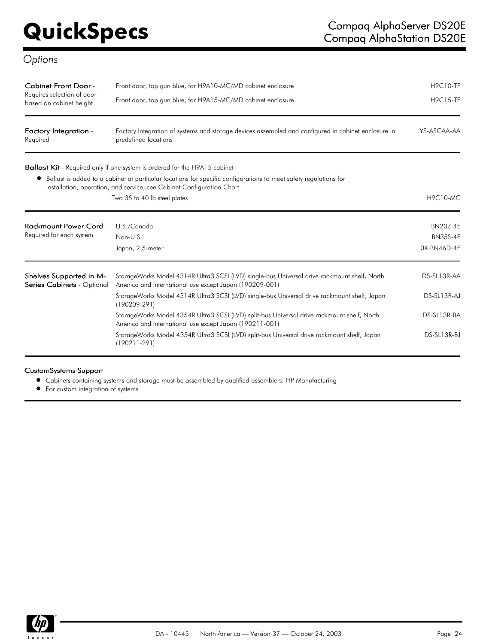| Cabinet Front Door -<br>Requires selection of door<br>based on cabinet height | Front door, top gun blue, for H9A10-MC/MD cabinet enclosure<br>Front door, top gun blue, for H9A15-MC/MD cabinet enclosure                                                                | <b>H9C10-TF</b><br><b>H9C15-TF</b> |
|-------------------------------------------------------------------------------|-------------------------------------------------------------------------------------------------------------------------------------------------------------------------------------------|------------------------------------|
| Factory Integration -<br>Required                                             | Factory Integration of systems and storage devices assembled and configured in cabinet enclosure in<br>predefined locations                                                               | YS-ASCAA-AA                        |
|                                                                               | <b>Ballast Kit</b> - Required only if one system is ordered for the H9A15 cabinet                                                                                                         |                                    |
|                                                                               | Ballast is added to a cabinet at particular locations for specific configurations to meet safety regulations for<br>installation, operation, and service; see Cabinet Configuration Chart |                                    |
|                                                                               | Two 35 to 40 lb steel plates                                                                                                                                                              | <b>H9C10-MC</b>                    |
| <b>Rackmount Power Cord -</b>                                                 | U.S./Canada                                                                                                                                                                               | <b>BN20Z-4E</b>                    |
| Required for each system                                                      | Non-U.S.                                                                                                                                                                                  | <b>BN35S-4E</b>                    |
|                                                                               | Japan, 2.5-meter                                                                                                                                                                          | 3X-BN46D-4E                        |
| Shelves Supported in M-<br>Series Cabinets - Optional                         | StorageWorks Model 4314R Ultra3 SCSI (LVD) single-bus Universal drive rackmount shelf, North<br>America and International use except Japan (190209-001)                                   | DS-SL13R-AA                        |
|                                                                               | StorageWorks Model 4314R Ultra3 SCSI (LVD) single-bus Universal drive rackmount shelf, Japan<br>$(190209 - 291)$                                                                          | DS-SL13R-AJ                        |
|                                                                               | StorageWorks Model 4354R Ultra3 SCSI (LVD) split-bus Universal drive rackmount shelf, North<br>America and International use except Japan (190211-001)                                    | DS-SL13R-BA                        |
|                                                                               | StorageWorks Model 4354R Ultra3 SCSI (LVD) split-bus Universal drive rackmount shelf, Japan<br>$(190211 - 291)$                                                                           | DS-SL13R-BJ                        |

### CustomSystems Support

Cabinets containing systems and storage must be assembled by qualified assemblers: HP Manufacturing

For custom integration of systems

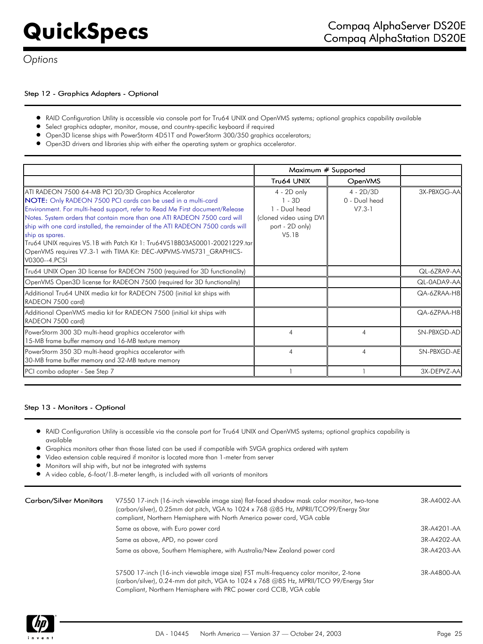## Step 12 - Graphics Adapters - Optional

- $\bullet$ RAID Configuration Utility is accessible via console port for Tru64 UNIX and OpenVMS systems; optional graphics capability available
- Select graphics adapter, monitor, mouse, and country-specific keyboard if required
- Open3D license ships with PowerStorm 4D51T and PowerStorm 300/350 graphics accelerators;
- Open3D drivers and libraries ship with either the operating system or graphics accelerator.

|                                                                                                                                                                                                                                                                                                                                                                                                                                                                                                                                                             | Maximum # Supported                                                                             |                                          |             |
|-------------------------------------------------------------------------------------------------------------------------------------------------------------------------------------------------------------------------------------------------------------------------------------------------------------------------------------------------------------------------------------------------------------------------------------------------------------------------------------------------------------------------------------------------------------|-------------------------------------------------------------------------------------------------|------------------------------------------|-------------|
|                                                                                                                                                                                                                                                                                                                                                                                                                                                                                                                                                             | Tru64 UNIX                                                                                      | <b>OpenVMS</b>                           |             |
| ATI RADEON 7500 64-MB PCI 2D/3D Graphics Accelerator<br>NOTE: Only RADEON 7500 PCI cards can be used in a multi-card<br>Environment. For multi-head support, refer to Read Me First document/Release<br>Notes. System orders that contain more than one ATI RADEON 7500 card will<br>ship with one card installed, the remainder of the ATI RADEON 7500 cards will<br>ship as spares.<br>Tru64 UNIX requires V5.1B with Patch Kit 1: Tru64V51BB03AS0001-20021229.tar<br>OpenVMS requires V7.3-1 with TIMA Kit: DEC-AXPVMS-VMS731 GRAPHICS-<br>V0300--4.PCSI | $4 - 2D$ only<br>1 - 3D<br>1 - Dual head<br>(cloned video using DVI<br>port - 2D only)<br>V5.1B | $4 - 2D/3D$<br>0 - Dual head<br>$V7.3-1$ | 3X-PBXGG-AA |
| Tru64 UNIX Open 3D license for RADEON 7500 (required for 3D functionality)                                                                                                                                                                                                                                                                                                                                                                                                                                                                                  |                                                                                                 |                                          | QL-6ZRA9-AA |
| OpenVMS Open3D license for RADEON 7500 (required for 3D functionality)                                                                                                                                                                                                                                                                                                                                                                                                                                                                                      |                                                                                                 |                                          | QL-0ADA9-AA |
| Additional Tru64 UNIX media kit for RADEON 7500 (initial kit ships with<br>RADEON 7500 card)                                                                                                                                                                                                                                                                                                                                                                                                                                                                |                                                                                                 |                                          | QA-6ZRAA-H8 |
| Additional OpenVMS media kit for RADEON 7500 (initial kit ships with<br>RADEON 7500 card)                                                                                                                                                                                                                                                                                                                                                                                                                                                                   |                                                                                                 |                                          | QA-6ZPAA-H8 |
| PowerStorm 300 3D multi-head graphics accelerator with<br>15-MB frame buffer memory and 16-MB texture memory                                                                                                                                                                                                                                                                                                                                                                                                                                                | $\overline{A}$                                                                                  | $\overline{4}$                           | SN-PBXGD-AD |
| PowerStorm 350 3D multi-head graphics accelerator with<br>30-MB frame buffer memory and 32-MB texture memory                                                                                                                                                                                                                                                                                                                                                                                                                                                | $\overline{A}$                                                                                  | 4                                        | SN-PBXGD-AE |
| PCI combo adapter - See Step 7                                                                                                                                                                                                                                                                                                                                                                                                                                                                                                                              |                                                                                                 |                                          | 3X-DEPVZ-AA |

### Step 13 - Monitors - Optional

- $\bullet$ RAID Configuration Utility is accessible via the console port for Tru64 UNIX and OpenVMS systems; optional graphics capability is available
- Graphics monitors other than those listed can be used if compatible with SVGA graphics ordered with system
- Video extension cable required if monitor is located more than 1-meter from server
- Monitors will ship with, but not be integrated with systems
- A video cable, 6-foot/1.8-meter length, is included with all variants of monitors

| <b>Carbon/Silver Monitors</b> | V7550 17-inch (16-inch viewable image size) flat-faced shadow mask color monitor, two-tone<br>(carbon/silver), 0.25mm dot pitch, VGA to 1024 x 768 @85 Hz, MPRII/TCO99/Energy Star<br>compliant, Northern Hemisphere with North America power cord, VGA cable | 3R-A4002-AA |
|-------------------------------|---------------------------------------------------------------------------------------------------------------------------------------------------------------------------------------------------------------------------------------------------------------|-------------|
|                               | Same as above, with Euro power cord                                                                                                                                                                                                                           | 3R-A4201-AA |
|                               | Same as above, APD, no power cord                                                                                                                                                                                                                             | 3R-A4202-AA |
|                               | Same as above, Southern Hemisphere, with Australia/New Zealand power cord                                                                                                                                                                                     | 3R-A4203-AA |
|                               | S7500 17-inch (16-inch viewable image size) FST multi-frequency color monitor, 2-tone<br>(carbon/silver), 0.24-mm dot pitch, VGA to 1024 x 768 @85 Hz, MPRII/TCO 99/Energy Star<br>Compliant, Northern Hemisphere with PRC power cord CCIB, VGA cable         | 3R-A4800-AA |

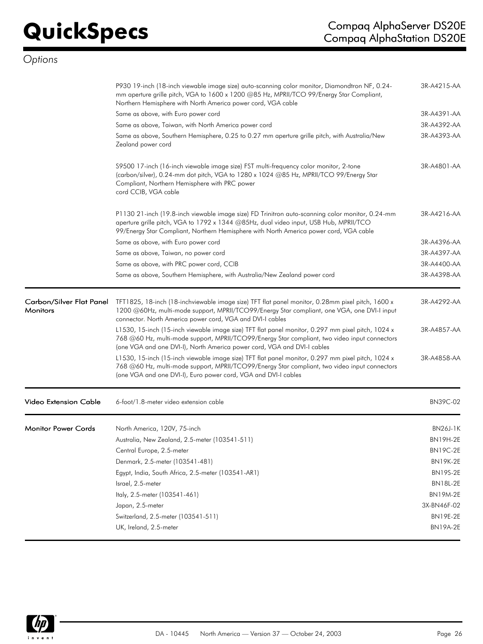|                            | P930 19-inch (18-inch viewable image size) auto-scanning color monitor, Diamondtron NF, 0.24-<br>mm aperture grille pitch, VGA to 1600 x 1200 @85 Hz, MPRII/TCO 99/Energy Star Compliant,<br>Northern Hemisphere with North America power cord, VGA cable                             | 3R-A4215-AA     |
|----------------------------|---------------------------------------------------------------------------------------------------------------------------------------------------------------------------------------------------------------------------------------------------------------------------------------|-----------------|
|                            | Same as above, with Euro power cord                                                                                                                                                                                                                                                   | 3R-A4391-AA     |
|                            | Same as above, Taiwan, with North America power cord                                                                                                                                                                                                                                  | 3R-A4392-AA     |
|                            | Same as above, Southern Hemisphere, 0.25 to 0.27 mm aperture grille pitch, with Australia/New<br>Zealand power cord                                                                                                                                                                   | 3R-A4393-AA     |
|                            | S9500 17-inch (16-inch viewable image size) FST multi-frequency color monitor, 2-tone<br>(carbon/silver), 0.24-mm dot pitch, VGA to 1280 x 1024 @85 Hz, MPRII/TCO 99/Energy Star<br>Compliant, Northern Hemisphere with PRC power<br>cord CCIB, VGA cable                             | 3R-A4801-AA     |
|                            | P1130 21-inch (19.8-inch viewable image size) FD Trinitron auto-scanning color monitor, 0.24-mm<br>aperture grille pitch, VGA to 1792 x 1344 @85Hz, dual video input, USB Hub, MPRII/TCO<br>99/Energy Star Compliant, Northern Hemisphere with North America power cord, VGA cable    | 3R-A4216-AA     |
|                            | Same as above, with Euro power cord                                                                                                                                                                                                                                                   | 3R-A4396-AA     |
|                            | Same as above, Taiwan, no power cord                                                                                                                                                                                                                                                  | 3R-A4397-AA     |
|                            | Same as above, with PRC power cord, CCIB                                                                                                                                                                                                                                              | 3R-A4400-AA     |
|                            | Same as above, Southern Hemisphere, with Australia/New Zealand power cord                                                                                                                                                                                                             | 3R-A4398-AA     |
| <b>Monitors</b>            | Carbon/Silver Flat Panel TFT1825, 18-inch (18-inchviewable image size) TFT flat panel monitor, 0.28mm pixel pitch, 1600 x<br>1200 @60Hz, multi-mode support, MPRII/TCO99/Energy Star compliant, one VGA, one DVI-I input<br>connector. North America power cord, VGA and DVI-I cables | 3R-A4292-AA     |
|                            | L1530, 15-inch (15-inch viewable image size) TFT flat panel monitor, 0.297 mm pixel pitch, 1024 x<br>768 @60 Hz, multi-mode support, MPRII/TCO99/Energy Star compliant, two video input connectors<br>(one VGA and one DVI-I), North America power cord, VGA and DVI-I cables         | 3R-A4857-AA     |
|                            | L1530, 15-inch (15-inch viewable image size) TFT flat panel monitor, 0.297 mm pixel pitch, 1024 x<br>768 @60 Hz, multi-mode support, MPRII/TCO99/Energy Star compliant, two video input connectors<br>(one VGA and one DVI-I), Euro power cord, VGA and DVI-I cables                  | 3R-A4858-AA     |
| Video Extension Cable      | 6-foot/1.8-meter video extension cable                                                                                                                                                                                                                                                | <b>BN39C-02</b> |
| <b>Monitor Power Cords</b> | North America, 120V, 75-inch                                                                                                                                                                                                                                                          | BN26J-1K        |
|                            | Australia, New Zealand, 2.5-meter (103541-511)                                                                                                                                                                                                                                        | <b>BN19H-2E</b> |
|                            | Central Europe, 2.5-meter                                                                                                                                                                                                                                                             | <b>BN19C-2E</b> |
|                            | Denmark, 2.5-meter (103541-481)                                                                                                                                                                                                                                                       | <b>BN19K-2E</b> |
|                            | Egypt, India, South Africa, 2.5-meter (103541-AR1)                                                                                                                                                                                                                                    | <b>BN19S-2E</b> |
|                            | Israel, 2.5-meter                                                                                                                                                                                                                                                                     | <b>BN18L-2E</b> |
|                            | Italy, 2.5-meter (103541-461)                                                                                                                                                                                                                                                         | <b>BN19M-2E</b> |
|                            | Japan, 2.5-meter                                                                                                                                                                                                                                                                      | 3X-BN46F-02     |
|                            | Switzerland, 2.5-meter (103541-511)                                                                                                                                                                                                                                                   | <b>BN19E-2E</b> |
|                            | UK, Ireland, 2.5-meter                                                                                                                                                                                                                                                                | BN19A-2E        |
|                            |                                                                                                                                                                                                                                                                                       |                 |

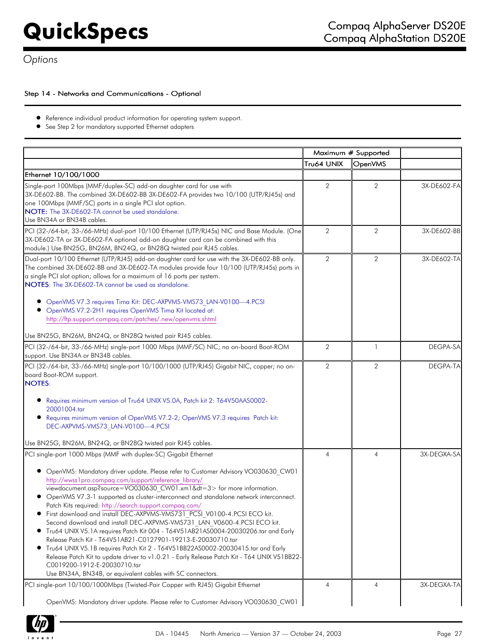## Step 14 - Networks and Communications - Optional

- Reference individual product information for operating system support.
- See Step 2 for mandatory supported Ethernet adapters

|                                                                                                                                                                                                                                                                                                                                                                                                                                                                                                                                                                                                                                                                                                                                                                                                                                                                                                                                                                                                                                            | Maximum # Supported |                |             |
|--------------------------------------------------------------------------------------------------------------------------------------------------------------------------------------------------------------------------------------------------------------------------------------------------------------------------------------------------------------------------------------------------------------------------------------------------------------------------------------------------------------------------------------------------------------------------------------------------------------------------------------------------------------------------------------------------------------------------------------------------------------------------------------------------------------------------------------------------------------------------------------------------------------------------------------------------------------------------------------------------------------------------------------------|---------------------|----------------|-------------|
|                                                                                                                                                                                                                                                                                                                                                                                                                                                                                                                                                                                                                                                                                                                                                                                                                                                                                                                                                                                                                                            | Tru64 UNIX          | <b>OpenVMS</b> |             |
| Ethernet 10/100/1000                                                                                                                                                                                                                                                                                                                                                                                                                                                                                                                                                                                                                                                                                                                                                                                                                                                                                                                                                                                                                       |                     |                |             |
| Single-port 100Mbps (MMF/duplex-SC) add-on daughter card for use with<br>3X-DE602-BB. The combined 3X-DE602-BB 3X-DE602-FA provides two 10/100 (UTP/RJ45s) and<br>one 100Mbps (MMF/SC) ports in a single PCI slot option.<br>NOTE: The 3X-DE602-TA cannot be used standalone.<br>Use BN34A or BN34B cables.                                                                                                                                                                                                                                                                                                                                                                                                                                                                                                                                                                                                                                                                                                                                | 2                   | $\overline{2}$ | 3X-DE602-FA |
| PCI (32-/64-bit, 33-/66-MHz) dual-port 10/100 Ethernet (UTP/RJ45s) NIC and Base Module. (One<br>3X-DE602-TA or 3X-DE602-FA optional add-on daughter card can be combined with this<br>module.) Use BN25G, BN26M, BN24Q, or BN28Q twisted pair RJ45 cables.                                                                                                                                                                                                                                                                                                                                                                                                                                                                                                                                                                                                                                                                                                                                                                                 | $\overline{2}$      | $\overline{2}$ | 3X-DE602-BB |
| Dual-port 10/100 Ethernet (UTP/RJ45) add-on daughter card for use with the 3X-DE602-BB only.<br>The combined 3X-DE602-BB and 3X-DE602-TA modules provide four 10/100 (UTP/RJ45s) ports in<br>a single PCI slot option; allows for a maximum of 16 ports per system.<br>NOTES: The 3X-DE602-TA cannot be used as standalone.<br>OpenVMS V7.3 requires Tima Kit: DEC-AXPVMS-VMS73 LAN-V0100-4.PCSI<br>• OpenVMS V7.2-2H1 requires OpenVMS Tima Kit located at:<br>http://ftp.support.compaq.com/patches/.new/openvms.shtml<br>Use BN25G, BN26M, BN24Q, or BN28Q twisted pair RJ45 cables.                                                                                                                                                                                                                                                                                                                                                                                                                                                    | $\overline{2}$      | $\overline{2}$ | 3X-DE602-TA |
| PCI (32-/64-bit, 33-/66-MHz) single-port 1000 Mbps (MMF/SC) NIC; no on-board Boot-ROM                                                                                                                                                                                                                                                                                                                                                                                                                                                                                                                                                                                                                                                                                                                                                                                                                                                                                                                                                      | 2                   | $\mathbf{1}$   | DEGPA-SA    |
| support. Use BN34A or BN34B cables.                                                                                                                                                                                                                                                                                                                                                                                                                                                                                                                                                                                                                                                                                                                                                                                                                                                                                                                                                                                                        |                     |                |             |
| PCI (32-/64-bit, 33-/66-MHz) single-port 10/100/1000 (UTP/RJ45) Gigabit NIC, copper; no on-<br>board Boot-ROM support.<br><b>NOTES:</b><br>Requires minimum version of Tru64 UNIX V5.0A, Patch kit 2: T64V50AAS0002-<br>20001004.tar<br>Requires minimum version of OpenVMS V7.2-2; OpenVMS V7.3 requires Patch kit:<br>DEC-AXPVMS-VMS73 LAN-V0100-4.PCSI                                                                                                                                                                                                                                                                                                                                                                                                                                                                                                                                                                                                                                                                                  | $\overline{2}$      | $\overline{2}$ | DEGPA-TA    |
| Use BN25G, BN26M, BN24Q, or BN28Q twisted pair RJ45 cables.                                                                                                                                                                                                                                                                                                                                                                                                                                                                                                                                                                                                                                                                                                                                                                                                                                                                                                                                                                                | $\overline{4}$      | $\overline{4}$ | 3X-DEGXA-SA |
| PCI single-port 1000 Mbps (MMF with duplex-SC) Gigabit Ethernet<br>● OpenVMS: Mandatory driver update. Please refer to Customer Advisory VO030630 CW01<br>http://wwss1pro.compaq.com/support/reference library/<br>viewdocument.asp?source=VO030630 CW01.xm1&dt=3> for more information.<br>OpenVMS V7.3-1 supported as cluster-interconnect and standalone network interconnect.<br>Patch Kits required: http://search.support.compag.com/<br>• First download and install DEC-AXPVMS-VMS731 PCSI V0100-4.PCSI ECO kit.<br>Second download and install DEC-AXPVMS-VMS731 LAN V0600-4.PCSI ECO kit.<br>● Tru64 UNIX V5.1A requires Patch Kit 004 - T64V51AB21AS0004-20030206.tar and Early<br>Release Patch Kit - T64V51AB21-C0127901-19213-E-20030710.tar<br>Tru64 UNIX V5.1B requires Patch Kit 2 - T64V51BB22AS0002-20030415.tar and Early<br>Release Patch Kit to update driver to v1.0.21 - Early Release Patch Kit - T64 UNIX V51BB22-<br>C0019200-1912-E-20030710.tar<br>Use BN34A, BN34B, or equivalent cables with SC connectors. |                     |                |             |
| PCI single-port 10/100/1000Mbps (Twisted-Pair Copper with RJ45) Gigabit Ethernet                                                                                                                                                                                                                                                                                                                                                                                                                                                                                                                                                                                                                                                                                                                                                                                                                                                                                                                                                           | $\overline{4}$      | $\overline{4}$ | 3X-DEGXA-TA |
| OpenVMS: Mandatory driver update. Please refer to Customer Advisory VO030630 CW01                                                                                                                                                                                                                                                                                                                                                                                                                                                                                                                                                                                                                                                                                                                                                                                                                                                                                                                                                          |                     |                |             |

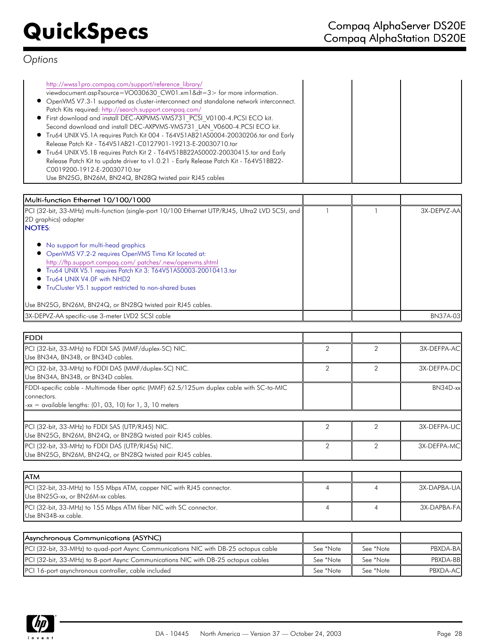| http://wwss1pro.compag.com/support/reference library/                                   |  |
|-----------------------------------------------------------------------------------------|--|
| viewdocument.asp?source=VO030630 CW01.xm1&dt=3> for more information.                   |  |
| • OpenVMS V7.3-1 supported as cluster-interconnect and standalone network interconnect. |  |
| Patch Kits required: http://search.support.compaq.com/                                  |  |
| • First download and install DEC-AXPVMS-VMS731 PCSI V0100-4.PCSI ECO kit.               |  |
| Second download and install DEC-AXPVMS-VMS731 LAN V0600-4.PCSI ECO kit.                 |  |
| ● Tru64 UNIX V5.1A requires Patch Kit 004 - T64V51AB21AS0004-20030206.tar and Early     |  |
| Release Patch Kit - T64V51AB21-C0127901-19213-E-20030710.tar                            |  |
| ● Tru64 UNIX V5.1B requires Patch Kit 2 - T64V51BB22AS0002-20030415.tar and Early       |  |
| Release Patch Kit to update driver to v1.0.21 - Early Release Patch Kit - T64V51BB22-   |  |
| C0019200-1912-E-20030710.tar                                                            |  |
| Use BN25G, BN26M, BN24Q, BN28Q twisted pair RJ45 cables                                 |  |

| Multi-function Ethernet 10/100/1000                                                                                                                                                                                                                                                                                          |  |                 |
|------------------------------------------------------------------------------------------------------------------------------------------------------------------------------------------------------------------------------------------------------------------------------------------------------------------------------|--|-----------------|
| PCI (32-bit, 33-MHz) multi-function (single-port 10/100 Ethernet UTP/RJ45, Ultra2 LVD SCSI, and<br>2D graphics) adapter<br><b>NOTES:</b>                                                                                                                                                                                     |  | 3X-DEPVZ-AA     |
| • No support for multi-head graphics<br>• OpenVMS V7.2-2 requires OpenVMS Tima Kit located at:<br>http://ftp.support.compag.com/ patches/.new/openvms.shtml<br>• Tru64 UNIX V5.1 requires Patch Kit 3: T64V51AS0003-20010413.tar<br>• Tru64 UNIX V4.0F with NHD2<br>• TruCluster V5.1 support restricted to non-shared buses |  |                 |
| Use BN25G, BN26M, BN24Q, or BN28Q twisted pair RJ45 cables.                                                                                                                                                                                                                                                                  |  |                 |
| 3X-DEPVZ-AA specific-use 3-meter LVD2 SCSI cable                                                                                                                                                                                                                                                                             |  | <b>BN37A-03</b> |

| lfddi.                                                                                                                                                                       |                |                |             |
|------------------------------------------------------------------------------------------------------------------------------------------------------------------------------|----------------|----------------|-------------|
| PCI (32-bit, 33-MHz) to FDDI SAS (MMF/duplex-SC) NIC.<br>Use BN34A, BN34B, or BN34D cables.                                                                                  | $\overline{2}$ | $\overline{2}$ | 3X-DEFPA-AC |
| PCI (32-bit, 33-MHz) to FDDI DAS (MMF/duplex-SC) NIC.<br>Use BN34A, BN34B, or BN34D cables.                                                                                  | $\overline{2}$ | 2              | 3X-DEFPA-DC |
| FDDI-specific cable - Multimode fiber optic (MMF) 62.5/125um duplex cable with SC-to-MIC<br>connectors.<br>$-xx = \alpha$ vailable lengths: (01, 03, 10) for 1, 3, 10 meters |                |                | $BN34D$ -xx |
| PCI (32-bit, 33-MHz) to FDDI SAS (UTP/RJ45) NIC.<br>Use BN25G, BN26M, BN24Q, or BN28Q twisted pair RJ45 cables.                                                              | $\mathcal{P}$  | 2              | 3X-DEFPA-UC |
| PCI (32-bit, 33-MHz) to FDDI DAS (UTP/RJ45s) NIC.<br>Use BN25G, BN26M, BN24Q, or BN28Q twisted pair RJ45 cables.                                                             | $\overline{2}$ | 2              | 3X-DEFPA-MC |
|                                                                                                                                                                              |                |                |             |
| <b>ATM</b><br>PCI (32-bit, 33-MHz) to 155 Mbps ATM, copper NIC with RJ45 connector.<br>Use BN25G-xx, or BN26M-xx cables.                                                     | $\overline{4}$ | 4              | 3X-DAPBA-UA |
| PCI (32-bit, 33-MHz) to 155 Mbps ATM fiber NIC with SC connector.<br>Use BN34B-xx cable.                                                                                     | $\overline{4}$ | 4              | 3X-DAPBA-FA |
|                                                                                                                                                                              |                |                |             |

| Asynchronous Communications (ASYNC)                                                        |           |           |                  |
|--------------------------------------------------------------------------------------------|-----------|-----------|------------------|
| <b>PCI</b> (32-bit, 33-MHz) to quad-port Async Communications NIC with DB-25 octopus cable | See *Note | See *Note | PBXDA-BAI        |
| <b>PCI</b> (32-bit, 33-MHz) to 8-port Async Communications NIC with DB-25 octopus cables   | See *Note | See *Note | PBXDA-BBI        |
| PCI 16-port asynchronous controller, cable included                                        | See *Note | See *Note | <b>PBXDA-ACI</b> |

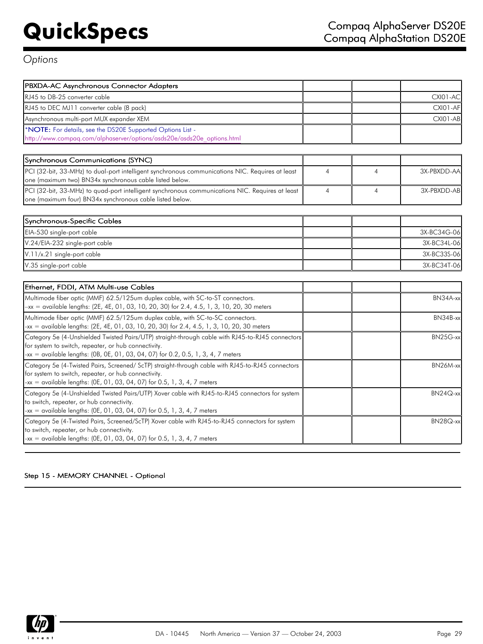| PBXDA-AC Asynchronous Connector Adapters                                                                                                                                                                                                      |                |                |                 |
|-----------------------------------------------------------------------------------------------------------------------------------------------------------------------------------------------------------------------------------------------|----------------|----------------|-----------------|
| RJ45 to DB-25 converter cable                                                                                                                                                                                                                 |                |                | <b>CXI01-AC</b> |
| RJ45 to DEC MJ11 converter cable (8 pack)                                                                                                                                                                                                     |                |                | <b>CXI01-AF</b> |
| Asynchronous multi-port MUX expander XEM                                                                                                                                                                                                      |                |                | CXIO1-AB        |
| *NOTE: For details, see the DS20E Supported Options List -                                                                                                                                                                                    |                |                |                 |
| http://www.compag.com/alphaserver/options/asds20e/asds20e_options.html                                                                                                                                                                        |                |                |                 |
|                                                                                                                                                                                                                                               |                |                |                 |
| Synchronous Communications (SYNC)                                                                                                                                                                                                             |                |                |                 |
| PCI (32-bit, 33-MHz) to dual-port intelligent synchronous communications NIC. Requires at least<br>one (maximum two) BN34x synchronous cable listed below.                                                                                    | 4              | $\overline{4}$ | 3X-PBXDD-AA     |
| PCI (32-bit, 33-MHz) to quad-port intelligent synchronous communications NIC. Requires at least<br>one (maximum four) BN34x synchronous cable listed below.                                                                                   | $\overline{4}$ | $\overline{4}$ | 3X-PBXDD-AB     |
|                                                                                                                                                                                                                                               |                |                |                 |
| Synchronous-Specific Cables                                                                                                                                                                                                                   |                |                |                 |
| EIA-530 single-port cable                                                                                                                                                                                                                     |                |                | 3X-BC34G-06     |
| V.24/EIA-232 single-port cable                                                                                                                                                                                                                |                |                | 3X-BC34L-06     |
| V.11/x.21 single-port cable                                                                                                                                                                                                                   |                |                | 3X-BC33S-06     |
| V.35 single-port cable                                                                                                                                                                                                                        |                |                | 3X-BC34T-06     |
|                                                                                                                                                                                                                                               |                |                |                 |
| Ethernet, FDDI, ATM Multi-use Cables                                                                                                                                                                                                          |                |                |                 |
| Multimode fiber optic (MMF) 62.5/125um duplex cable, with SC-to-ST connectors.<br>$-xx =$ available lengths: (2E, 4E, 01, 03, 10, 20, 30) for 2.4, 4.5, 1, 3, 10, 20, 30 meters                                                               |                |                | BN34A-xx        |
| Multimode fiber optic (MMF) 62.5/125um duplex cable, with SC-to-SC connectors.<br>-xx = available lengths: (2E, 4E, 01, 03, 10, 20, 30) for 2.4, 4.5, 1, 3, 10, 20, 30 meters                                                                 |                |                | BN34B-xx        |
| Category 5e (4-Unshielded Twisted Pairs/UTP) straight-through cable with RJ45-to-RJ45 connectors<br>for system to switch, repeater, or hub connectivity.<br>-xx = available lengths: (0B, 0E, 01, 03, 04, 07) for 0.2, 0.5, 1, 3, 4, 7 meters |                |                | BN25G-xx        |
| Category 5e (4-Twisted Pairs, Screened/ ScTP) straight-through cable with RJ45-to-RJ45 connectors<br>for system to switch, repeater, or hub connectivity.<br>$-xx = \alpha$ vailable lengths: (0E, 01, 03, 04, 07) for 0.5, 1, 3, 4, 7 meters |                |                | BN26M-xx        |
| Category 5e (4-Unshielded Twisted Pairs/UTP) Xover cable with RJ45-to-RJ45 connectors for system<br>to switch, repeater, or hub connectivity.<br>-xx = available lengths: $(OE, 01, 03, 04, 07)$ for 0.5, 1, 3, 4, 7 meters                   |                |                | $BN24Q$ -xx     |
| Category 5e (4-Twisted Pairs, Screened/ScTP) Xover cable with RJ45-to-RJ45 connectors for system<br>to switch, repeater, or hub connectivity.<br>-xx = available lengths: $(OE, 01, 03, 04, 07)$ for 0.5, 1, 3, 4, 7 meters                   |                |                | BN28Q-xx        |

## Step 15 - MEMORY CHANNEL - Optional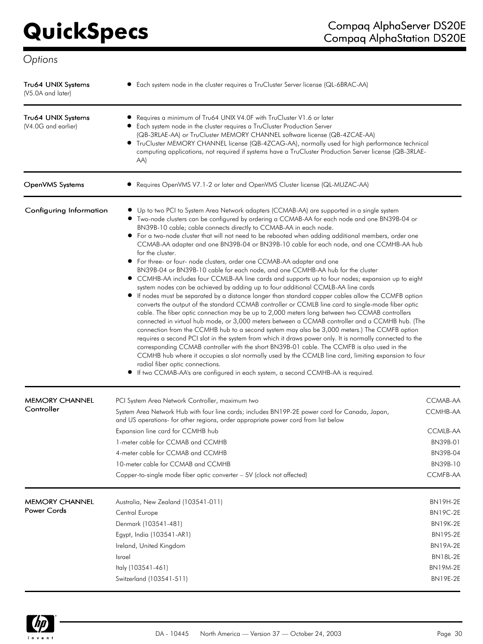| Tru64 UNIX Systems<br>(V5.0A and later)   | • Each system node in the cluster requires a TruCluster Server license (QL-6BRAC-AA)                                                                                                                                                                                                                                                                                                                                                                                                                                                                                                                                                                                                                                                                                                                                                                                                                                                                                                                                                                                                                                                                                                                                                                                                                                                                                                                                                                                                                                                                                                                                                                                                                                                                                                                     |                             |
|-------------------------------------------|----------------------------------------------------------------------------------------------------------------------------------------------------------------------------------------------------------------------------------------------------------------------------------------------------------------------------------------------------------------------------------------------------------------------------------------------------------------------------------------------------------------------------------------------------------------------------------------------------------------------------------------------------------------------------------------------------------------------------------------------------------------------------------------------------------------------------------------------------------------------------------------------------------------------------------------------------------------------------------------------------------------------------------------------------------------------------------------------------------------------------------------------------------------------------------------------------------------------------------------------------------------------------------------------------------------------------------------------------------------------------------------------------------------------------------------------------------------------------------------------------------------------------------------------------------------------------------------------------------------------------------------------------------------------------------------------------------------------------------------------------------------------------------------------------------|-----------------------------|
| Tru64 UNIX Systems<br>(V4.0G and earlier) | Requires a minimum of Tru64 UNIX V4.0F with TruCluster V1.6 or later<br>• Each system node in the cluster requires a TruCluster Production Server<br>(QB-3RLAE-AA) or TruCluster MEMORY CHANNEL software license (QB-4ZCAE-AA)<br>• TruCluster MEMORY CHANNEL license (QB-4ZCAG-AA), normally used for high performance technical<br>computing applications, not required if systems have a TruCluster Production Server license (QB-3RLAE-<br>AA)                                                                                                                                                                                                                                                                                                                                                                                                                                                                                                                                                                                                                                                                                                                                                                                                                                                                                                                                                                                                                                                                                                                                                                                                                                                                                                                                                       |                             |
| OpenVMS Systems                           | Requires OpenVMS V7.1-2 or later and OpenVMS Cluster license (QL-MUZAC-AA)                                                                                                                                                                                                                                                                                                                                                                                                                                                                                                                                                                                                                                                                                                                                                                                                                                                                                                                                                                                                                                                                                                                                                                                                                                                                                                                                                                                                                                                                                                                                                                                                                                                                                                                               |                             |
| Configuring Information                   | • Up to two PCI to System Area Network adapters (CCMAB-AA) are supported in a single system<br>• Two-node clusters can be configured by ordering a CCMAB-AA for each node and one BN39B-04 or<br>BN39B-10 cable; cable connects directly to CCMAB-AA in each node.<br>• For a two-node cluster that will not need to be rebooted when adding additional members, order one<br>CCMAB-AA adapter and one BN39B-04 or BN39B-10 cable for each node, and one CCMHB-AA hub<br>for the cluster.<br>• For three- or four- node clusters, order one CCMAB-AA adapter and one<br>BN39B-04 or BN39B-10 cable for each node, and one CCMHB-AA hub for the cluster<br>• CCMHB-AA includes four CCMLB-AA line cards and supports up to four nodes; expansion up to eight<br>system nodes can be achieved by adding up to four additional CCMLB-AA line cards<br>If nodes must be separated by a distance longer than standard copper cables allow the CCMFB option<br>converts the output of the standard CCMAB controller or CCMLB line card to single-mode fiber optic<br>cable. The fiber optic connection may be up to 2,000 meters long between two CCMAB controllers<br>connected in virtual hub mode, or 3,000 meters between a CCMAB controller and a CCMHB hub. (The<br>connection from the CCMHB hub to a second system may also be 3,000 meters.) The CCMFB option<br>requires a second PCI slot in the system from which it draws power only. It is normally connected to the<br>corresponding CCMAB controller with the short BN39B-01 cable. The CCMFB is also used in the<br>CCMHB hub where it occupies a slot normally used by the CCMLB line card, limiting expansion to four<br>radial fiber optic connections.<br>If two CCMAB-AA's are configured in each system, a second CCMHB-AA is required. |                             |
| <b>MEMORY CHANNEL</b><br>Controller       | PCI System Area Network Controller, maximum two<br>System Area Network Hub with four line cards; includes BN19P-2E power cord for Canada, Japan,<br>and US operations- for other regions, order appropriate power cord from list below                                                                                                                                                                                                                                                                                                                                                                                                                                                                                                                                                                                                                                                                                                                                                                                                                                                                                                                                                                                                                                                                                                                                                                                                                                                                                                                                                                                                                                                                                                                                                                   | CCMAB-AA<br><b>CCMHB-AA</b> |
|                                           | Expansion line card for CCMHB hub                                                                                                                                                                                                                                                                                                                                                                                                                                                                                                                                                                                                                                                                                                                                                                                                                                                                                                                                                                                                                                                                                                                                                                                                                                                                                                                                                                                                                                                                                                                                                                                                                                                                                                                                                                        | CCMLB-AA                    |
|                                           | 1-meter cable for CCMAB and CCMHB                                                                                                                                                                                                                                                                                                                                                                                                                                                                                                                                                                                                                                                                                                                                                                                                                                                                                                                                                                                                                                                                                                                                                                                                                                                                                                                                                                                                                                                                                                                                                                                                                                                                                                                                                                        | BN39B-01                    |
|                                           | 4-meter cable for CCMAB and CCMHB                                                                                                                                                                                                                                                                                                                                                                                                                                                                                                                                                                                                                                                                                                                                                                                                                                                                                                                                                                                                                                                                                                                                                                                                                                                                                                                                                                                                                                                                                                                                                                                                                                                                                                                                                                        | <b>BN39B-04</b>             |
|                                           | 10-meter cable for CCMAB and CCMHB<br>Copper-to-single mode fiber optic converter - 5V (clock not affected)                                                                                                                                                                                                                                                                                                                                                                                                                                                                                                                                                                                                                                                                                                                                                                                                                                                                                                                                                                                                                                                                                                                                                                                                                                                                                                                                                                                                                                                                                                                                                                                                                                                                                              | BN39B-10<br>CCMFB-AA        |
| <b>MEMORY CHANNEL</b>                     | Australia, New Zealand (103541-011)                                                                                                                                                                                                                                                                                                                                                                                                                                                                                                                                                                                                                                                                                                                                                                                                                                                                                                                                                                                                                                                                                                                                                                                                                                                                                                                                                                                                                                                                                                                                                                                                                                                                                                                                                                      | <b>BN19H-2E</b>             |
| <b>Power Cords</b>                        | Central Europe                                                                                                                                                                                                                                                                                                                                                                                                                                                                                                                                                                                                                                                                                                                                                                                                                                                                                                                                                                                                                                                                                                                                                                                                                                                                                                                                                                                                                                                                                                                                                                                                                                                                                                                                                                                           | <b>BN19C-2E</b>             |
|                                           | Denmark (103541-481)                                                                                                                                                                                                                                                                                                                                                                                                                                                                                                                                                                                                                                                                                                                                                                                                                                                                                                                                                                                                                                                                                                                                                                                                                                                                                                                                                                                                                                                                                                                                                                                                                                                                                                                                                                                     | <b>BN19K-2E</b>             |
|                                           | Egypt, India (103541-AR1)                                                                                                                                                                                                                                                                                                                                                                                                                                                                                                                                                                                                                                                                                                                                                                                                                                                                                                                                                                                                                                                                                                                                                                                                                                                                                                                                                                                                                                                                                                                                                                                                                                                                                                                                                                                | <b>BN19S-2E</b>             |
|                                           | Ireland, United Kingdom                                                                                                                                                                                                                                                                                                                                                                                                                                                                                                                                                                                                                                                                                                                                                                                                                                                                                                                                                                                                                                                                                                                                                                                                                                                                                                                                                                                                                                                                                                                                                                                                                                                                                                                                                                                  | <b>BN19A-2E</b>             |
|                                           | <b>Israel</b>                                                                                                                                                                                                                                                                                                                                                                                                                                                                                                                                                                                                                                                                                                                                                                                                                                                                                                                                                                                                                                                                                                                                                                                                                                                                                                                                                                                                                                                                                                                                                                                                                                                                                                                                                                                            | BN18L-2E                    |
|                                           | Italy (103541-461)                                                                                                                                                                                                                                                                                                                                                                                                                                                                                                                                                                                                                                                                                                                                                                                                                                                                                                                                                                                                                                                                                                                                                                                                                                                                                                                                                                                                                                                                                                                                                                                                                                                                                                                                                                                       | <b>BN19M-2E</b>             |
|                                           | Switzerland (103541-511)                                                                                                                                                                                                                                                                                                                                                                                                                                                                                                                                                                                                                                                                                                                                                                                                                                                                                                                                                                                                                                                                                                                                                                                                                                                                                                                                                                                                                                                                                                                                                                                                                                                                                                                                                                                 | <b>BN19E-2E</b>             |

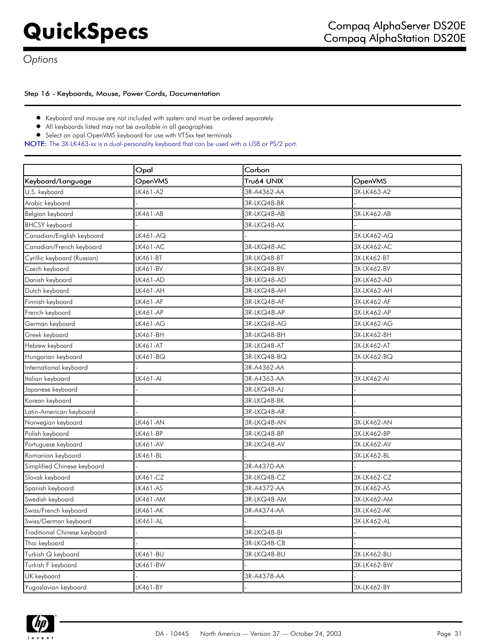## Step 16 - Keyboards, Mouse, Power Cords, Documentation

- Keyboard and mouse are not included with system and must be ordered separately
- $\bullet$ All keyboards listed may not be available in all geographies
- Select an opal OpenVMS keyboard for use with VT5xx text terminals

NOTE: The 3X-LK463-xx is a dual-personality keyboard that can be used with a USB or PS/2 port.

|                              | Opal     | Carbon      |             |  |
|------------------------------|----------|-------------|-------------|--|
| Keyboard/Language            | OpenVMS  | Tru64 UNIX  | OpenVMS     |  |
| U.S. keyboard                | LK461-A2 | 3R-A4362-AA | 3X-LK463-A2 |  |
| Arabic keyboard              |          | 3R-LKQ48-BR |             |  |
| Belgian keyboard             | LK461-AB | 3R-LKQ48-AB | 3X-LK462-AB |  |
| <b>BHCSY</b> keyboard        |          | 3R-LKQ48-AX |             |  |
| Canadian/English keyboard    | LK461-AQ |             | 3X-LK462-AQ |  |
| Canadian/French keyboard     | LK461-AC | 3R-LKQ48-AC | 3X-LK462-AC |  |
| Cyrillic keyboard (Russian)  | LK461-BT | 3R-LKQ48-BT | 3X-LK462-BT |  |
| Czech keyboard               | LK461-BV | 3R-LKQ48-BV | 3X-LK462-BV |  |
| Danish keyboard              | LK461-AD | 3R-LKQ48-AD | 3X-LK462-AD |  |
| Dutch keyboard               | LK461-AH | 3R-LKQ48-AH | 3X-LK462-AH |  |
| Finnish keyboard             | LK461-AF | 3R-LKQ48-AF | 3X-LK462-AF |  |
| French keyboard              | LK461-AP | 3R-LKQ48-AP | 3X-LK462-AP |  |
| German keyboard              | LK461-AG | 3R-LKQ48-AG | 3X-LK462-AG |  |
| Greek keyboard               | LK461-BH | 3R-LKQ48-BH | 3X-LK462-BH |  |
| Hebrew keyboard              | LK461-AT | 3R-LKQ48-AT | 3X-LK462-AT |  |
| Hungarian keyboard           | LK461-BQ | 3R-LKQ48-BQ | 3X-LK462-BQ |  |
| International keyboard       |          | 3R-A4362-AA |             |  |
| Italian keyboard             | LK461-AI | 3R-A4363-AA | 3X-LK462-AI |  |
| Japanese keyboard            |          | 3R-LKQ48-AJ |             |  |
| Korean keyboard              |          | 3R-LKQ48-BK |             |  |
| Latin-American keyboard      |          | 3R-LKQ48-AR |             |  |
| Norwegian keyboard           | LK461-AN | 3R-LKQ48-AN | 3X-LK462-AN |  |
| Polish keyboard              | LK461-BP | 3R-LKQ48-BP | 3X-LK462-BP |  |
| Portuguese keyboard          | LK461-AV | 3R-LKQ48-AV | 3X-LK462-AV |  |
| Romanian keyboard            | LK461-BL |             | 3X-LK462-BL |  |
| Simplified Chinese keyboard  |          | 3R-A4370-AA |             |  |
| Slovak keyboard              | LK461-CZ | 3R-LKQ48-CZ | 3X-LK462-CZ |  |
| Spanish keyboard             | LK461-AS | 3R-A4372-AA | 3X-LK462-AS |  |
| Swedish keyboard             | LK461-AM | 3R-LKQ48-AM | 3X-LK462-AM |  |
| Swiss/French keyboard        | LK461-AK | 3R-A4374-AA | 3X-LK462-AK |  |
| Swiss/German keyboard        | LK461-AL |             | 3X-LK462-AL |  |
| Traditional Chinese keyboard |          | 3R-LKQ48-BI |             |  |
| Thai keyboard                |          | 3R-LKQ48-CB |             |  |
| Turkish Q keyboard           | LK461-BU | 3R-LKQ48-BU | 3X-LK462-BU |  |
| Turkish F keyboard           | LK461-BW |             | 3X-LK462-BW |  |
| UK keyboard                  |          | 3R-A4378-AA |             |  |
| Yugoslavian keyboard         | LK461-BY |             | 3X-LK462-BY |  |

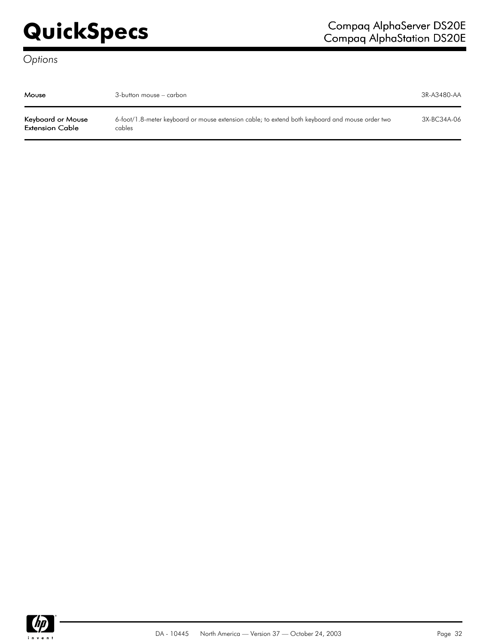| Mouse                                | 3-button mouse – carbon                                                                                   | 3R-A3480-AA |
|--------------------------------------|-----------------------------------------------------------------------------------------------------------|-------------|
| Keyboard or Mouse<br>Extension Cable | 6-foot/1.8-meter keyboard or mouse extension cable; to extend both keyboard and mouse order two<br>cables | 3X-BC34A-06 |

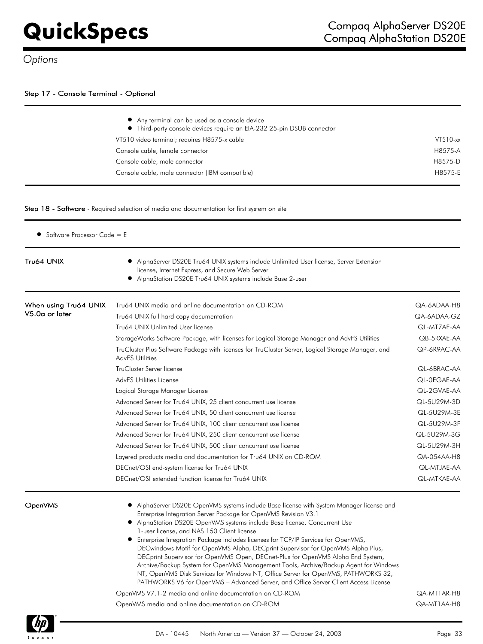## Step 17 - Console Terminal - Optional

| • Any terminal can be used as a console device<br>• Third-party console devices require an EIA-232 25-pin DSUB connector |             |
|--------------------------------------------------------------------------------------------------------------------------|-------------|
| VT510 video terminal; requires H8575-x cable                                                                             | $VT510$ -xx |
| Console cable, female connector                                                                                          | H8575-A     |
| Console cable, male connector                                                                                            | H8575-D     |
| Console cable, male connector (IBM compatible)                                                                           | H8575-E     |

### Step 18 - Software - Required selection of media and documentation for first system on site

| Software Processor Code = E |                                                                                                                                                                                                                                                                                                                                                                                                                                                                                                                                                                                                                                                                                                                                                                                                                                                                                                                                         |                            |  |  |
|-----------------------------|-----------------------------------------------------------------------------------------------------------------------------------------------------------------------------------------------------------------------------------------------------------------------------------------------------------------------------------------------------------------------------------------------------------------------------------------------------------------------------------------------------------------------------------------------------------------------------------------------------------------------------------------------------------------------------------------------------------------------------------------------------------------------------------------------------------------------------------------------------------------------------------------------------------------------------------------|----------------------------|--|--|
| Tru64 UNIX                  | • AlphaServer DS20E Tru64 UNIX systems include Unlimited User license, Server Extension<br>license, Internet Express, and Secure Web Server<br>AlphaStation DS20E Tru64 UNIX systems include Base 2-user                                                                                                                                                                                                                                                                                                                                                                                                                                                                                                                                                                                                                                                                                                                                |                            |  |  |
| When using Tru64 UNIX       | Tru64 UNIX media and online documentation on CD-ROM                                                                                                                                                                                                                                                                                                                                                                                                                                                                                                                                                                                                                                                                                                                                                                                                                                                                                     | QA-6ADAA-H8                |  |  |
| V5.0a or later              | Tru64 UNIX full hard copy documentation                                                                                                                                                                                                                                                                                                                                                                                                                                                                                                                                                                                                                                                                                                                                                                                                                                                                                                 |                            |  |  |
|                             | Tru64 UNIX Unlimited User license                                                                                                                                                                                                                                                                                                                                                                                                                                                                                                                                                                                                                                                                                                                                                                                                                                                                                                       | QL-MT7AE-AA                |  |  |
|                             | StorageWorks Software Package, with licenses for Logical Storage Manager and AdvFS Utilities                                                                                                                                                                                                                                                                                                                                                                                                                                                                                                                                                                                                                                                                                                                                                                                                                                            | QB-5RXAE-AA                |  |  |
|                             | TruCluster Plus Software Package with licenses for TruCluster Server, Logical Storage Manager, and<br><b>AdvFS Utilities</b>                                                                                                                                                                                                                                                                                                                                                                                                                                                                                                                                                                                                                                                                                                                                                                                                            | QP-6R9AC-AA                |  |  |
|                             | TruCluster Server license                                                                                                                                                                                                                                                                                                                                                                                                                                                                                                                                                                                                                                                                                                                                                                                                                                                                                                               | QL-6BRAC-AA                |  |  |
|                             | <b>AdvFS Utilities License</b>                                                                                                                                                                                                                                                                                                                                                                                                                                                                                                                                                                                                                                                                                                                                                                                                                                                                                                          | QL-0EGAE-AA                |  |  |
|                             | Logical Storage Manager License                                                                                                                                                                                                                                                                                                                                                                                                                                                                                                                                                                                                                                                                                                                                                                                                                                                                                                         |                            |  |  |
|                             | Advanced Server for Tru64 UNIX, 25 client concurrent use license                                                                                                                                                                                                                                                                                                                                                                                                                                                                                                                                                                                                                                                                                                                                                                                                                                                                        |                            |  |  |
|                             | Advanced Server for Tru64 UNIX, 50 client concurrent use license                                                                                                                                                                                                                                                                                                                                                                                                                                                                                                                                                                                                                                                                                                                                                                                                                                                                        | QL-5U29M-3E                |  |  |
|                             | Advanced Server for Tru64 UNIX, 100 client concurrent use license                                                                                                                                                                                                                                                                                                                                                                                                                                                                                                                                                                                                                                                                                                                                                                                                                                                                       | QL-5U29M-3F                |  |  |
|                             | Advanced Server for Tru64 UNIX, 250 client concurrent use license                                                                                                                                                                                                                                                                                                                                                                                                                                                                                                                                                                                                                                                                                                                                                                                                                                                                       | QL-5U29M-3G                |  |  |
|                             | Advanced Server for Tru64 UNIX, 500 client concurrent use license                                                                                                                                                                                                                                                                                                                                                                                                                                                                                                                                                                                                                                                                                                                                                                                                                                                                       | QL-5U29M-3H                |  |  |
|                             | Layered products media and documentation for Tru64 UNIX on CD-ROM                                                                                                                                                                                                                                                                                                                                                                                                                                                                                                                                                                                                                                                                                                                                                                                                                                                                       |                            |  |  |
|                             | DECnet/OSI end-system license for Tru64 UNIX                                                                                                                                                                                                                                                                                                                                                                                                                                                                                                                                                                                                                                                                                                                                                                                                                                                                                            |                            |  |  |
|                             | DECnet/OSI extended function license for Tru64 UNIX                                                                                                                                                                                                                                                                                                                                                                                                                                                                                                                                                                                                                                                                                                                                                                                                                                                                                     | QL-MTKAE-AA                |  |  |
| OpenVMS                     | • AlphaServer DS20E OpenVMS systems include Base license with System Manager license and<br>Enterprise Integration Server Package for OpenVMS Revision V3.1<br>• AlphaStation DS20E OpenVMS systems include Base license, Concurrent Use<br>1-user license, and NAS 150 Client license<br>• Enterprise Integration Package includes licenses for TCP/IP Services for OpenVMS,<br>DECwindows Motif for OpenVMS Alpha, DECprint Supervisor for OpenVMS Alpha Plus,<br>DECprint Supervisor for OpenVMS Open, DECnet-Plus for OpenVMS Alpha End System,<br>Archive/Backup System for OpenVMS Management Tools, Archive/Backup Agent for Windows<br>NT, OpenVMS Disk Services for Windows NT, Office Server for OpenVMS, PATHWORKS 32,<br>PATHWORKS V6 for OpenVMS - Advanced Server, and Office Server Client Access License<br>OpenVMS V7.1-2 media and online documentation on CD-ROM<br>OpenVMS media and online documentation on CD-ROM | QA-MT1AR-H8<br>QA-MT1AA-H8 |  |  |

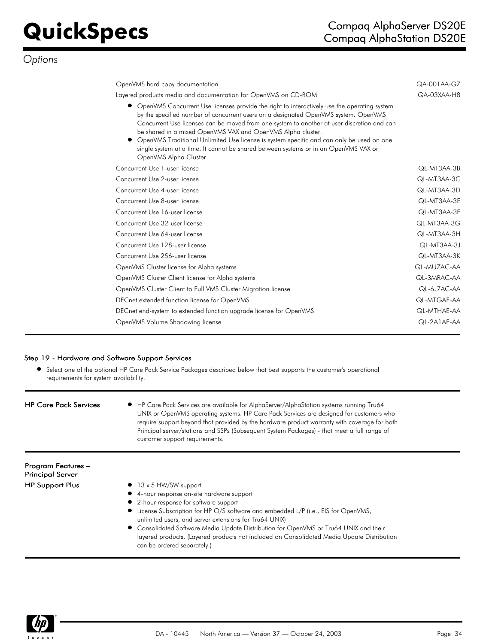| OpenVMS hard copy documentation                                                                                                                                                                                                                                                                                                                                                                                                                                                                                                                                                         | QA-001AA-GZ |
|-----------------------------------------------------------------------------------------------------------------------------------------------------------------------------------------------------------------------------------------------------------------------------------------------------------------------------------------------------------------------------------------------------------------------------------------------------------------------------------------------------------------------------------------------------------------------------------------|-------------|
| Layered products media and documentation for OpenVMS on CD-ROM                                                                                                                                                                                                                                                                                                                                                                                                                                                                                                                          | QA-03XAA-H8 |
| OpenVMS Concurrent Use licenses provide the right to interactively use the operating system<br>$\bullet$<br>by the specified number of concurrent users on a designated OpenVMS system. OpenVMS<br>Concurrent Use licenses can be moved from one system to another at user discretion and can<br>be shared in a mixed OpenVMS VAX and OpenVMS Alpha cluster.<br>OpenVMS Traditional Unlimited Use license is system specific and can only be used on one<br>$\bullet$<br>single system at a time. It cannot be shared between systems or in an OpenVMS VAX or<br>OpenVMS Alpha Cluster. |             |
| Concurrent Use 1-user license                                                                                                                                                                                                                                                                                                                                                                                                                                                                                                                                                           | QL-MT3AA-3B |
| Concurrent Use 2-user license                                                                                                                                                                                                                                                                                                                                                                                                                                                                                                                                                           | QL-MT3AA-3C |
| Concurrent Use 4-user license                                                                                                                                                                                                                                                                                                                                                                                                                                                                                                                                                           | QL-MT3AA-3D |
| Concurrent Use 8-user license                                                                                                                                                                                                                                                                                                                                                                                                                                                                                                                                                           | QL-MT3AA-3E |
| Concurrent Use 16-user license                                                                                                                                                                                                                                                                                                                                                                                                                                                                                                                                                          | QL-MT3AA-3F |
| Concurrent Use 32-user license                                                                                                                                                                                                                                                                                                                                                                                                                                                                                                                                                          | QL-MT3AA-3G |
| Concurrent Use 64-user license                                                                                                                                                                                                                                                                                                                                                                                                                                                                                                                                                          | QL-MT3AA-3H |
| Concurrent Use 128-user license                                                                                                                                                                                                                                                                                                                                                                                                                                                                                                                                                         | QL-MT3AA-3J |
| Concurrent Use 256-user license                                                                                                                                                                                                                                                                                                                                                                                                                                                                                                                                                         | QL-MT3AA-3K |
| OpenVMS Cluster license for Alpha systems                                                                                                                                                                                                                                                                                                                                                                                                                                                                                                                                               | QL-MUZAC-AA |
| OpenVMS Cluster Client license for Alpha systems                                                                                                                                                                                                                                                                                                                                                                                                                                                                                                                                        | QL-3MRAC-AA |
| OpenVMS Cluster Client to Full VMS Cluster Migration license                                                                                                                                                                                                                                                                                                                                                                                                                                                                                                                            | QL-6J7AC-AA |
| DECnet extended function license for OpenVMS                                                                                                                                                                                                                                                                                                                                                                                                                                                                                                                                            | QL-MTGAE-AA |
| DECnet end-system to extended function upgrade license for OpenVMS                                                                                                                                                                                                                                                                                                                                                                                                                                                                                                                      | QL-MTHAE-AA |
| OpenVMS Volume Shadowing license                                                                                                                                                                                                                                                                                                                                                                                                                                                                                                                                                        | QL-2A1AE-AA |
|                                                                                                                                                                                                                                                                                                                                                                                                                                                                                                                                                                                         |             |

### Step 19 - Hardware and Software Support Services

Select one of the optional HP Care Pack Service Packages described below that best supports the customer's operational requirements for system availability.

| <b>HP Care Pack Services</b>                  | • HP Care Pack Services are available for AlphaServer/AlphaStation systems running Tru64<br>UNIX or OpenVMS operating systems. HP Care Pack Services are designed for customers who<br>require support beyond that provided by the hardware product warranty with coverage for both<br>Principal server/stations and SSPs (Subsequent System Packages) - that meet a full range of<br>customer support requirements. |
|-----------------------------------------------|----------------------------------------------------------------------------------------------------------------------------------------------------------------------------------------------------------------------------------------------------------------------------------------------------------------------------------------------------------------------------------------------------------------------|
| Program Features –<br><b>Principal Server</b> |                                                                                                                                                                                                                                                                                                                                                                                                                      |
| <b>HP Support Plus</b>                        | $\bullet$ 13 x 5 HW/SW support<br>4-hour response on-site hardware support<br>• 2-hour response for software support<br>License Subscription for HP O/S software and embedded L/P (i.e., EIS for OpenVMS,<br>unlimited users, and server extensions for Tru64 UNIX)                                                                                                                                                  |

Consolidated Software Media Update Distribution for OpenVMS or Tru64 UNIX and their  $\bullet$ layered products. (Layered products not included on Consolidated Media Update Distribution can be ordered separately.)

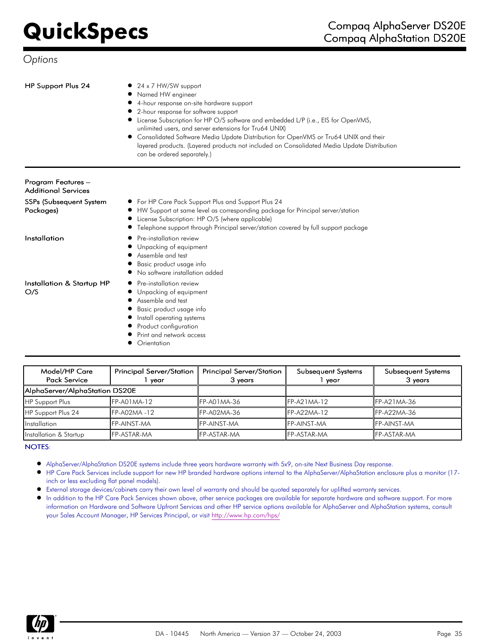- HP Support Plus 24 **0** 24 x 7 HW/SW support
	- Named HW engineer
	- 4-hour response on-site hardware support

For HP Care Pack Support Plus and Support Plus 24

License Subscription: HP O/S (where applicable)

- $\bullet$ 2-hour response for software support
- License Subscription for HP O/S software and embedded L/P (i.e., EIS for OpenVMS,  $\bullet$ unlimited users, and server extensions for Tru64 UNIX)

HW Support at same level as corresponding package for Principal server/station

Telephone support through Principal server/station covered by full support package

Consolidated Software Media Update Distribution for OpenVMS or Tru64 UNIX and their layered products. (Layered products not included on Consolidated Media Update Distribution can be ordered separately.)

Program Features – Additional Services SSPs (Subsequent System

Packages)

- Installation **Pre-installation review** 
	- Unpacking of equipment
	- Assemble and test  $\bullet$ Basic product usage info
	- No software installation added  $\bullet$

 $\bullet$ 

Installation & Startup HP O/S

- Pre-installation review
- Unpacking of equipment
- Assemble and test
- Basic product usage info  $\bullet$
- Install operating systems Product configuration
- Print and network access
- **Orientation**
- Model/HP Care Pack Service Principal Server/Station 1 year Principal Server/Station 3 years Subsequent Systems 1 year Subsequent Systems 3 years AlphaServer/AlphaStation DS20E HP Support Plus FP-A01MA-12 FP-A01MA-36 FP-A21MA-12 FP-A21MA-36 HP Support Plus 24 **FP-A02MA -12** FP-A02MA-36 **FP-A22MA-12** FP-A22MA-36 Installation FP-AINST-MA FP-AINST-MA FP-AINST-MA FP-AINST-MA Installation & Startup FP-ASTAR-MA FP-ASTAR-MA FP-ASTAR-MA FP-ASTAR-MA

### NOTES:

- AlphaServer/AlphaStation DS20E systems include three years hardware warranty with 5x9, on-site Next Business Day response.
- HP Care Pack Services include support for new HP branded hardware options internal to the AlphaServer/AlphaStation enclosure plus a monitor (17 inch or less excluding flat panel models).
- External storage devices/cabinets carry their own level of warranty and should be quoted separately for uplifted warranty services.
- In addition to the HP Care Pack Services shown above, other service packages are available for separate hardware and software support. For more information on Hardware and Software Upfront Services and other HP service options available for AlphaServer and AlphaStation systems, consult your Sales Account Manager, HP Services Principal, or visit<http://www.hp.com/hps/>

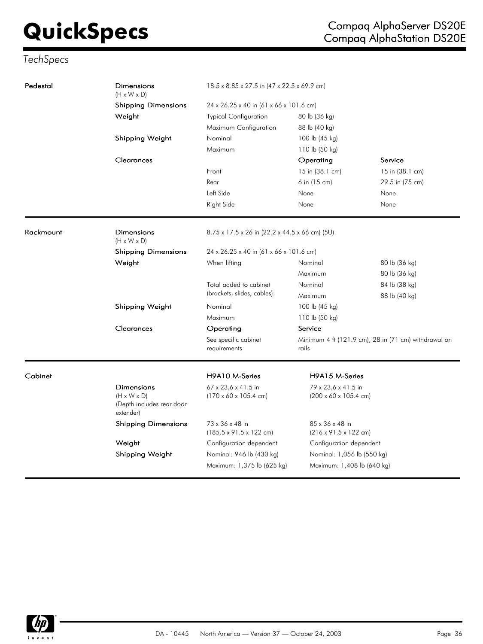# *TechSpecs*

| Pedestal  | Dimensions<br>$(H \times W \times D)$                                           | 18.5 x 8.85 x 27.5 in (47 x 22.5 x 69.9 cm)<br>24 x 26.25 x 40 in (61 x 66 x 101.6 cm)<br><b>Typical Configuration</b><br>80 lb (36 kg) |                                                                  |                 |  |
|-----------|---------------------------------------------------------------------------------|-----------------------------------------------------------------------------------------------------------------------------------------|------------------------------------------------------------------|-----------------|--|
|           | <b>Shipping Dimensions</b>                                                      |                                                                                                                                         |                                                                  |                 |  |
|           | Weight                                                                          |                                                                                                                                         |                                                                  |                 |  |
|           |                                                                                 | Maximum Configuration                                                                                                                   | 88 lb (40 kg)                                                    |                 |  |
|           | Shipping Weight                                                                 | Nominal                                                                                                                                 | 100 lb (45 kg)                                                   |                 |  |
|           |                                                                                 | Maximum                                                                                                                                 | 110 lb (50 kg)                                                   |                 |  |
|           | Clearances                                                                      |                                                                                                                                         | Operating                                                        | Service         |  |
|           |                                                                                 | Front                                                                                                                                   | 15 in (38.1 cm)                                                  | 15 in (38.1 cm) |  |
|           |                                                                                 | Rear                                                                                                                                    | 6 in (15 cm)                                                     | 29.5 in (75 cm) |  |
|           |                                                                                 | Left Side                                                                                                                               | None                                                             | None            |  |
|           |                                                                                 | Right Side                                                                                                                              | None                                                             | None            |  |
| Rackmount | Dimensions<br>$(H \times W \times D)$                                           | 8.75 x 17.5 x 26 in (22.2 x 44.5 x 66 cm) (5U)                                                                                          |                                                                  |                 |  |
|           | <b>Shipping Dimensions</b>                                                      | 24 x 26.25 x 40 in (61 x 66 x 101.6 cm)                                                                                                 |                                                                  |                 |  |
|           | Weight                                                                          | When lifting                                                                                                                            | Nominal                                                          | 80 lb (36 kg)   |  |
|           |                                                                                 |                                                                                                                                         | Maximum                                                          | 80 lb (36 kg)   |  |
|           |                                                                                 | Total added to cabinet                                                                                                                  | Nominal                                                          | 84 lb (38 kg)   |  |
|           |                                                                                 | (brackets, slides, cables):                                                                                                             | Maximum                                                          | 88 lb (40 kg)   |  |
|           | Shipping Weight                                                                 | Nominal                                                                                                                                 | 100 lb (45 kg)                                                   |                 |  |
|           |                                                                                 | Maximum                                                                                                                                 | 110 lb (50 kg)                                                   |                 |  |
|           | Clearances                                                                      | Operating                                                                                                                               | Service                                                          |                 |  |
|           |                                                                                 | See specific cabinet<br>requirements                                                                                                    | Minimum 4 ft (121.9 cm), 28 in (71 cm) withdrawal on<br>rails    |                 |  |
| Cabinet   |                                                                                 | H9A10 M-Series                                                                                                                          | H9A15 M-Series                                                   |                 |  |
|           | Dimensions<br>$(H \times W \times D)$<br>(Depth includes rear door<br>extender) | 67 x 23.6 x 41.5 in<br>$(170 \times 60 \times 105.4$ cm)                                                                                | 79 x 23.6 x 41.5 in<br>$(200 \times 60 \times 105.4 \text{ cm})$ |                 |  |
|           | Shipping Dimensions                                                             | 73 x 36 x 48 in<br>$(185.5 \times 91.5 \times 122$ cm)                                                                                  | 85 x 36 x 48 in<br>$(216 \times 91.5 \times 122 \text{ cm})$     |                 |  |
|           | Weight                                                                          | Configuration dependent                                                                                                                 | Configuration dependent                                          |                 |  |
|           | Shipping Weight                                                                 | Nominal: 946 lb (430 kg)                                                                                                                | Nominal: 1,056 lb (550 kg)                                       |                 |  |
|           |                                                                                 | Maximum: 1,375 lb (625 kg)                                                                                                              | Maximum: 1,408 lb (640 kg)                                       |                 |  |

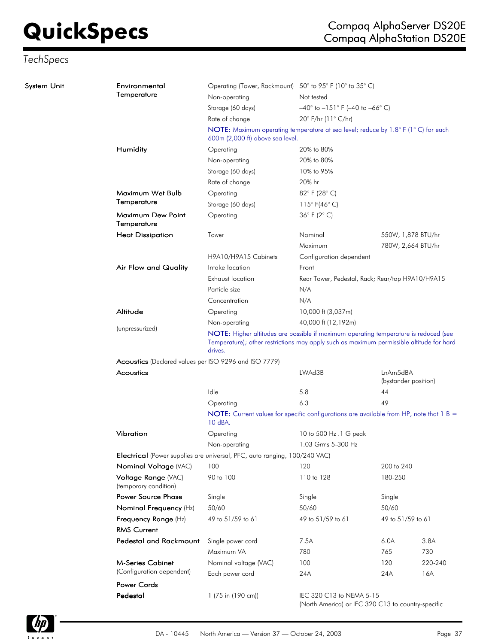# *TechSpecs*

| System Unit | Environmental<br>Temperature                          | Operating (Tower, Rackmount) 50° to 95° F (10° to 35° C)<br>Non-operating                                             | Not tested                                                                     |                                  |                    |  |  |
|-------------|-------------------------------------------------------|-----------------------------------------------------------------------------------------------------------------------|--------------------------------------------------------------------------------|----------------------------------|--------------------|--|--|
|             |                                                       |                                                                                                                       | $-40^{\circ}$ to $-151^{\circ}$ F (-40 to $-66^{\circ}$ C)                     |                                  |                    |  |  |
|             |                                                       | Storage (60 days)                                                                                                     | 20° F/hr (11° C/hr)                                                            |                                  |                    |  |  |
|             |                                                       | Rate of change                                                                                                        |                                                                                |                                  |                    |  |  |
|             |                                                       | NOTE: Maximum operating temperature at sea level; reduce by 1.8° F (1°C) for each<br>600m (2,000 ft) above sea level. |                                                                                |                                  |                    |  |  |
|             | Humidity                                              | Operating                                                                                                             | 20% to 80%                                                                     |                                  |                    |  |  |
|             |                                                       | Non-operating                                                                                                         | 20% to 80%                                                                     |                                  |                    |  |  |
|             |                                                       | Storage (60 days)                                                                                                     | 10% to 95%                                                                     |                                  |                    |  |  |
|             |                                                       | Rate of change                                                                                                        | 20% hr                                                                         |                                  |                    |  |  |
|             | Maximum Wet Bulb                                      | Operating                                                                                                             | 82°F (28°C)                                                                    |                                  |                    |  |  |
|             | Temperature                                           | Storage (60 days)                                                                                                     | 115° F(46° C)                                                                  |                                  |                    |  |  |
|             | Maximum Dew Point<br>Temperature                      | Operating                                                                                                             | 36 $\degree$ F (2 $\degree$ C)                                                 |                                  |                    |  |  |
|             | <b>Heat Dissipation</b>                               | Tower                                                                                                                 | Nominal                                                                        |                                  | 550W, 1,878 BTU/hr |  |  |
|             |                                                       |                                                                                                                       | Maximum                                                                        |                                  | 780W, 2,664 BTU/hr |  |  |
|             |                                                       | H9A10/H9A15 Cabinets                                                                                                  | Configuration dependent                                                        |                                  |                    |  |  |
|             | Air Flow and Quality                                  | Intake location                                                                                                       | Front                                                                          |                                  |                    |  |  |
|             |                                                       | Exhaust location                                                                                                      | Rear Tower, Pedestal, Rack; Rear/top H9A10/H9A15                               |                                  |                    |  |  |
|             |                                                       | Particle size                                                                                                         | N/A                                                                            |                                  |                    |  |  |
|             |                                                       | Concentration                                                                                                         | N/A                                                                            |                                  |                    |  |  |
|             | Altitude                                              | Operating                                                                                                             | 10,000 ft (3,037m)                                                             |                                  |                    |  |  |
|             |                                                       | Non-operating                                                                                                         | 40,000 ft (12,192m)                                                            |                                  |                    |  |  |
|             | (unpressurized)                                       | NOTE: Higher altitudes are possible if maximum operating temperature is reduced (see                                  |                                                                                |                                  |                    |  |  |
|             |                                                       | Temperature); other restrictions may apply such as maximum permissible altitude for hard<br>drives.                   |                                                                                |                                  |                    |  |  |
|             | Acoustics (Declared values per ISO 9296 and ISO 7779) |                                                                                                                       |                                                                                |                                  |                    |  |  |
|             | Acoustics                                             |                                                                                                                       | LWAd3B                                                                         | LnAm5dBA<br>(bystander position) |                    |  |  |
|             |                                                       | Idle                                                                                                                  | 5.8                                                                            | 44                               |                    |  |  |
|             |                                                       | Operating                                                                                                             | 6.3                                                                            | 49                               |                    |  |  |
|             |                                                       | NOTE: Current values for specific configurations are available from HP, note that 1 B =<br>10 dBA.                    |                                                                                |                                  |                    |  |  |
|             | Vibration                                             | Operating                                                                                                             | 10 to 500 Hz.1 G peak                                                          |                                  |                    |  |  |
|             |                                                       | Non-operating                                                                                                         | 1.03 Grms 5-300 Hz                                                             |                                  |                    |  |  |
|             |                                                       | Electrical (Power supplies are universal, PFC, auto ranging, 100/240 VAC)                                             |                                                                                |                                  |                    |  |  |
|             | Nominal Voltage (VAC)                                 | 100                                                                                                                   | 120                                                                            | 200 to 240                       |                    |  |  |
|             | Voltage Range (VAC)<br>(temporary condition)          | 90 to 100                                                                                                             | 110 to 128                                                                     | 180-250                          |                    |  |  |
|             | <b>Power Source Phase</b>                             | Single                                                                                                                | Single                                                                         | Single                           |                    |  |  |
|             | Nominal Frequency (Hz)                                | 50/60                                                                                                                 | 50/60                                                                          | 50/60                            |                    |  |  |
|             | Frequency Range (Hz)                                  | 49 to 51/59 to 61                                                                                                     | 49 to 51/59 to 61                                                              | 49 to 51/59 to 61                |                    |  |  |
|             | <b>RMS Current</b>                                    |                                                                                                                       |                                                                                |                                  |                    |  |  |
|             | <b>Pedestal and Rackmount</b>                         | Single power cord                                                                                                     | 7.5A                                                                           | 6.0A                             | 3.8A               |  |  |
|             |                                                       | Maximum VA                                                                                                            | 780                                                                            | 765                              | 730                |  |  |
|             | <b>M-Series Cabinet</b>                               | Nominal voltage (VAC)                                                                                                 | 100                                                                            | 120                              | 220-240            |  |  |
|             | (Configuration dependent)                             | Each power cord                                                                                                       | 24A                                                                            | 24A                              | 16A                |  |  |
|             | <b>Power Cords</b>                                    |                                                                                                                       |                                                                                |                                  |                    |  |  |
|             | Pedestal                                              | 1 (75 in (190 cm))                                                                                                    | IEC 320 C13 to NEMA 5-15<br>(North America) or IEC 320 C13 to country-specific |                                  |                    |  |  |